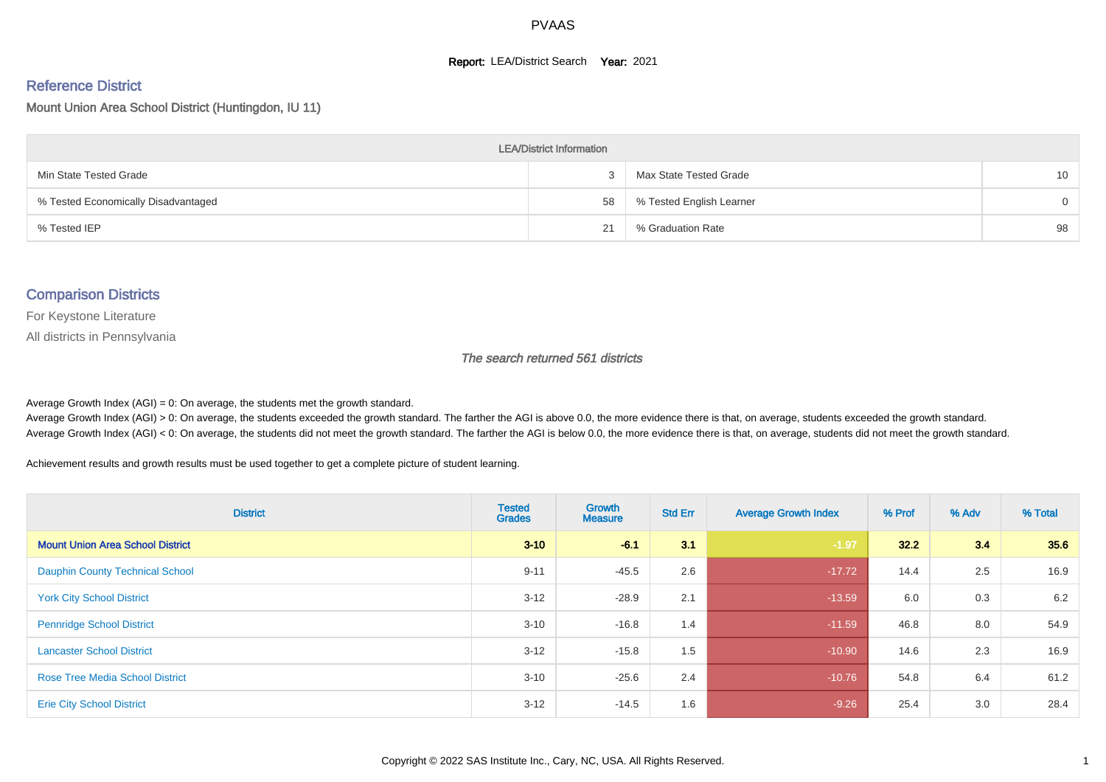#### **Report: LEA/District Search Year: 2021**

#### Reference District

Mount Union Area School District (Huntingdon, IU 11)

| <b>LEA/District Information</b>     |    |                          |                 |  |  |  |  |  |  |  |
|-------------------------------------|----|--------------------------|-----------------|--|--|--|--|--|--|--|
| Min State Tested Grade              |    | Max State Tested Grade   | 10 <sup>1</sup> |  |  |  |  |  |  |  |
| % Tested Economically Disadvantaged | 58 | % Tested English Learner | $\Omega$        |  |  |  |  |  |  |  |
| % Tested IEP                        | 21 | % Graduation Rate        | 98              |  |  |  |  |  |  |  |

#### Comparison Districts

For Keystone Literature

All districts in Pennsylvania

The search returned 561 districts

Average Growth Index  $(AGI) = 0$ : On average, the students met the growth standard.

Average Growth Index (AGI) > 0: On average, the students exceeded the growth standard. The farther the AGI is above 0.0, the more evidence there is that, on average, students exceeded the growth standard. Average Growth Index (AGI) < 0: On average, the students did not meet the growth standard. The farther the AGI is below 0.0, the more evidence there is that, on average, students did not meet the growth standard.

Achievement results and growth results must be used together to get a complete picture of student learning.

| <b>District</b>                         | <b>Tested</b><br><b>Grades</b> | <b>Growth</b><br><b>Measure</b> | <b>Std Err</b> | <b>Average Growth Index</b> | % Prof | % Adv | % Total |
|-----------------------------------------|--------------------------------|---------------------------------|----------------|-----------------------------|--------|-------|---------|
| <b>Mount Union Area School District</b> | $3 - 10$                       | $-6.1$                          | 3.1            | $-1.97$                     | 32.2   | 3.4   | 35.6    |
| <b>Dauphin County Technical School</b>  | $9 - 11$                       | $-45.5$                         | 2.6            | $-17.72$                    | 14.4   | 2.5   | 16.9    |
| <b>York City School District</b>        | $3 - 12$                       | $-28.9$                         | 2.1            | $-13.59$                    | 6.0    | 0.3   | 6.2     |
| <b>Pennridge School District</b>        | $3 - 10$                       | $-16.8$                         | 1.4            | $-11.59$                    | 46.8   | 8.0   | 54.9    |
| <b>Lancaster School District</b>        | $3 - 12$                       | $-15.8$                         | 1.5            | $-10.90$                    | 14.6   | 2.3   | 16.9    |
| <b>Rose Tree Media School District</b>  | $3 - 10$                       | $-25.6$                         | 2.4            | $-10.76$                    | 54.8   | 6.4   | 61.2    |
| <b>Erie City School District</b>        | $3 - 12$                       | $-14.5$                         | 1.6            | $-9.26$                     | 25.4   | 3.0   | 28.4    |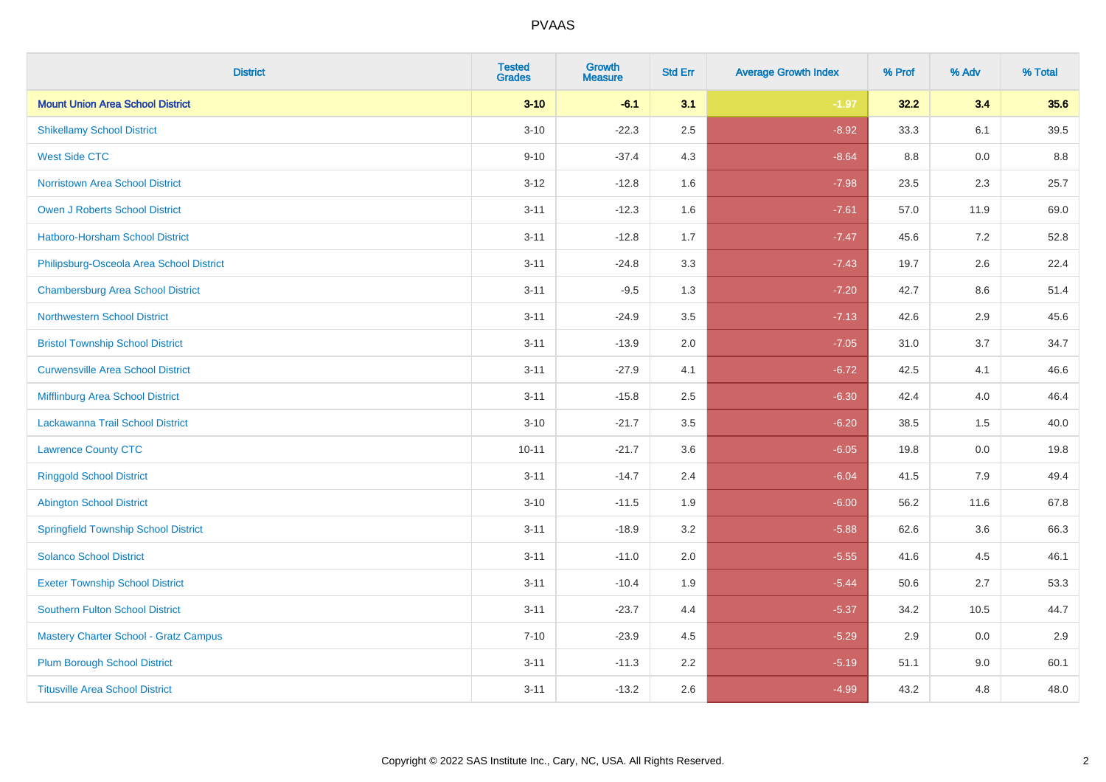| <b>District</b>                              | <b>Tested</b><br><b>Grades</b> | <b>Growth</b><br><b>Measure</b> | <b>Std Err</b> | <b>Average Growth Index</b> | % Prof | % Adv | % Total |
|----------------------------------------------|--------------------------------|---------------------------------|----------------|-----------------------------|--------|-------|---------|
| <b>Mount Union Area School District</b>      | $3 - 10$                       | $-6.1$                          | 3.1            | $-1.97$                     | 32.2   | 3.4   | 35.6    |
| <b>Shikellamy School District</b>            | $3 - 10$                       | $-22.3$                         | 2.5            | $-8.92$                     | 33.3   | 6.1   | 39.5    |
| <b>West Side CTC</b>                         | $9 - 10$                       | $-37.4$                         | 4.3            | $-8.64$                     | 8.8    | 0.0   | 8.8     |
| <b>Norristown Area School District</b>       | $3 - 12$                       | $-12.8$                         | 1.6            | $-7.98$                     | 23.5   | 2.3   | 25.7    |
| Owen J Roberts School District               | $3 - 11$                       | $-12.3$                         | 1.6            | $-7.61$                     | 57.0   | 11.9  | 69.0    |
| <b>Hatboro-Horsham School District</b>       | $3 - 11$                       | $-12.8$                         | 1.7            | $-7.47$                     | 45.6   | 7.2   | 52.8    |
| Philipsburg-Osceola Area School District     | $3 - 11$                       | $-24.8$                         | 3.3            | $-7.43$                     | 19.7   | 2.6   | 22.4    |
| <b>Chambersburg Area School District</b>     | $3 - 11$                       | $-9.5$                          | 1.3            | $-7.20$                     | 42.7   | 8.6   | 51.4    |
| <b>Northwestern School District</b>          | $3 - 11$                       | $-24.9$                         | 3.5            | $-7.13$                     | 42.6   | 2.9   | 45.6    |
| <b>Bristol Township School District</b>      | $3 - 11$                       | $-13.9$                         | 2.0            | $-7.05$                     | 31.0   | 3.7   | 34.7    |
| <b>Curwensville Area School District</b>     | $3 - 11$                       | $-27.9$                         | 4.1            | $-6.72$                     | 42.5   | 4.1   | 46.6    |
| Mifflinburg Area School District             | $3 - 11$                       | $-15.8$                         | 2.5            | $-6.30$                     | 42.4   | 4.0   | 46.4    |
| Lackawanna Trail School District             | $3 - 10$                       | $-21.7$                         | 3.5            | $-6.20$                     | 38.5   | 1.5   | 40.0    |
| <b>Lawrence County CTC</b>                   | $10 - 11$                      | $-21.7$                         | 3.6            | $-6.05$                     | 19.8   | 0.0   | 19.8    |
| <b>Ringgold School District</b>              | $3 - 11$                       | $-14.7$                         | 2.4            | $-6.04$                     | 41.5   | 7.9   | 49.4    |
| <b>Abington School District</b>              | $3 - 10$                       | $-11.5$                         | 1.9            | $-6.00$                     | 56.2   | 11.6  | 67.8    |
| <b>Springfield Township School District</b>  | $3 - 11$                       | $-18.9$                         | 3.2            | $-5.88$                     | 62.6   | 3.6   | 66.3    |
| <b>Solanco School District</b>               | $3 - 11$                       | $-11.0$                         | 2.0            | $-5.55$                     | 41.6   | 4.5   | 46.1    |
| <b>Exeter Township School District</b>       | $3 - 11$                       | $-10.4$                         | 1.9            | $-5.44$                     | 50.6   | 2.7   | 53.3    |
| <b>Southern Fulton School District</b>       | $3 - 11$                       | $-23.7$                         | 4.4            | $-5.37$                     | 34.2   | 10.5  | 44.7    |
| <b>Mastery Charter School - Gratz Campus</b> | $7 - 10$                       | $-23.9$                         | 4.5            | $-5.29$                     | 2.9    | 0.0   | 2.9     |
| <b>Plum Borough School District</b>          | $3 - 11$                       | $-11.3$                         | 2.2            | $-5.19$                     | 51.1   | 9.0   | 60.1    |
| <b>Titusville Area School District</b>       | $3 - 11$                       | $-13.2$                         | 2.6            | $-4.99$                     | 43.2   | 4.8   | 48.0    |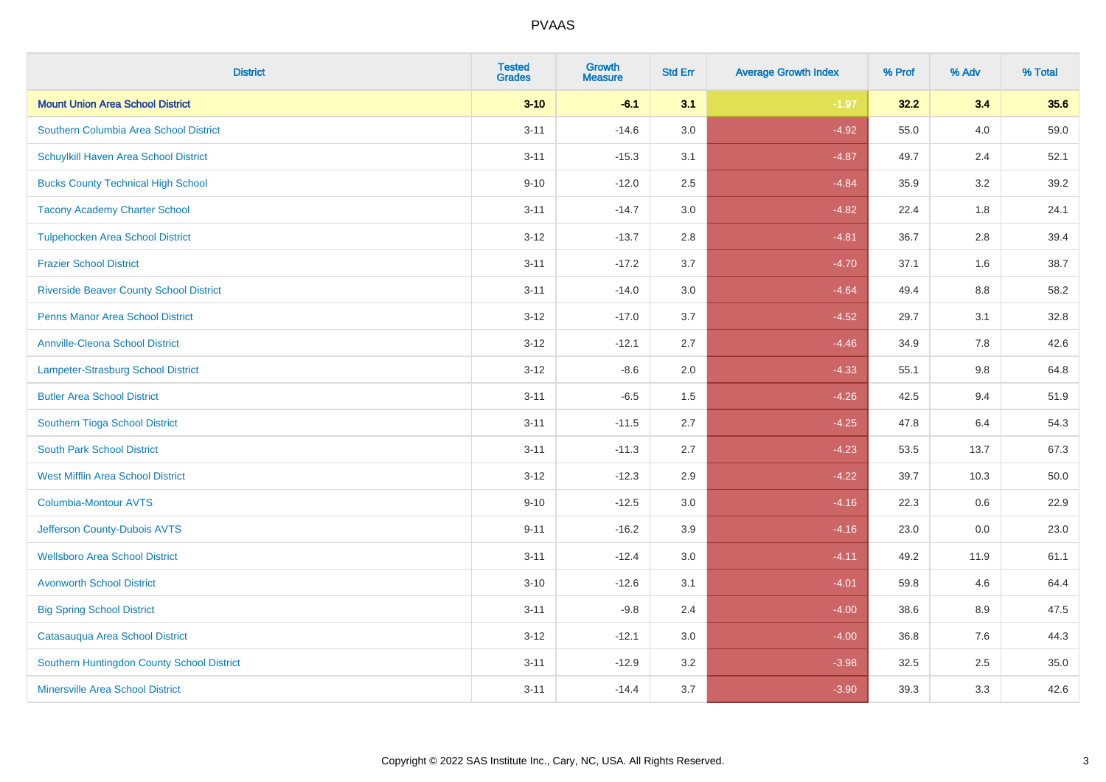| <b>District</b>                                | <b>Tested</b><br><b>Grades</b> | <b>Growth</b><br><b>Measure</b> | <b>Std Err</b> | <b>Average Growth Index</b> | % Prof | % Adv   | % Total |
|------------------------------------------------|--------------------------------|---------------------------------|----------------|-----------------------------|--------|---------|---------|
| <b>Mount Union Area School District</b>        | $3 - 10$                       | $-6.1$                          | 3.1            | $-1.97$                     | 32.2   | 3.4     | 35.6    |
| Southern Columbia Area School District         | $3 - 11$                       | $-14.6$                         | 3.0            | $-4.92$                     | 55.0   | 4.0     | 59.0    |
| Schuylkill Haven Area School District          | $3 - 11$                       | $-15.3$                         | 3.1            | $-4.87$                     | 49.7   | 2.4     | 52.1    |
| <b>Bucks County Technical High School</b>      | $9 - 10$                       | $-12.0$                         | 2.5            | $-4.84$                     | 35.9   | 3.2     | 39.2    |
| <b>Tacony Academy Charter School</b>           | $3 - 11$                       | $-14.7$                         | 3.0            | $-4.82$                     | 22.4   | 1.8     | 24.1    |
| <b>Tulpehocken Area School District</b>        | $3 - 12$                       | $-13.7$                         | 2.8            | $-4.81$                     | 36.7   | 2.8     | 39.4    |
| <b>Frazier School District</b>                 | $3 - 11$                       | $-17.2$                         | 3.7            | $-4.70$                     | 37.1   | 1.6     | 38.7    |
| <b>Riverside Beaver County School District</b> | $3 - 11$                       | $-14.0$                         | 3.0            | $-4.64$                     | 49.4   | 8.8     | 58.2    |
| <b>Penns Manor Area School District</b>        | $3 - 12$                       | $-17.0$                         | 3.7            | $-4.52$                     | 29.7   | 3.1     | 32.8    |
| <b>Annville-Cleona School District</b>         | $3 - 12$                       | $-12.1$                         | 2.7            | $-4.46$                     | 34.9   | 7.8     | 42.6    |
| <b>Lampeter-Strasburg School District</b>      | $3 - 12$                       | $-8.6$                          | 2.0            | $-4.33$                     | 55.1   | 9.8     | 64.8    |
| <b>Butler Area School District</b>             | $3 - 11$                       | $-6.5$                          | 1.5            | $-4.26$                     | 42.5   | 9.4     | 51.9    |
| Southern Tioga School District                 | $3 - 11$                       | $-11.5$                         | 2.7            | $-4.25$                     | 47.8   | 6.4     | 54.3    |
| <b>South Park School District</b>              | $3 - 11$                       | $-11.3$                         | 2.7            | $-4.23$                     | 53.5   | 13.7    | 67.3    |
| <b>West Mifflin Area School District</b>       | $3 - 12$                       | $-12.3$                         | 2.9            | $-4.22$                     | 39.7   | 10.3    | 50.0    |
| <b>Columbia-Montour AVTS</b>                   | $9 - 10$                       | $-12.5$                         | 3.0            | $-4.16$                     | 22.3   | $0.6\,$ | 22.9    |
| Jefferson County-Dubois AVTS                   | $9 - 11$                       | $-16.2$                         | 3.9            | $-4.16$                     | 23.0   | 0.0     | 23.0    |
| <b>Wellsboro Area School District</b>          | $3 - 11$                       | $-12.4$                         | 3.0            | $-4.11$                     | 49.2   | 11.9    | 61.1    |
| <b>Avonworth School District</b>               | $3 - 10$                       | $-12.6$                         | 3.1            | $-4.01$                     | 59.8   | 4.6     | 64.4    |
| <b>Big Spring School District</b>              | $3 - 11$                       | $-9.8$                          | 2.4            | $-4.00$                     | 38.6   | 8.9     | 47.5    |
| Catasauqua Area School District                | $3 - 12$                       | $-12.1$                         | 3.0            | $-4.00$                     | 36.8   | 7.6     | 44.3    |
| Southern Huntingdon County School District     | $3 - 11$                       | $-12.9$                         | 3.2            | $-3.98$                     | 32.5   | 2.5     | 35.0    |
| <b>Minersville Area School District</b>        | $3 - 11$                       | $-14.4$                         | 3.7            | $-3.90$                     | 39.3   | 3.3     | 42.6    |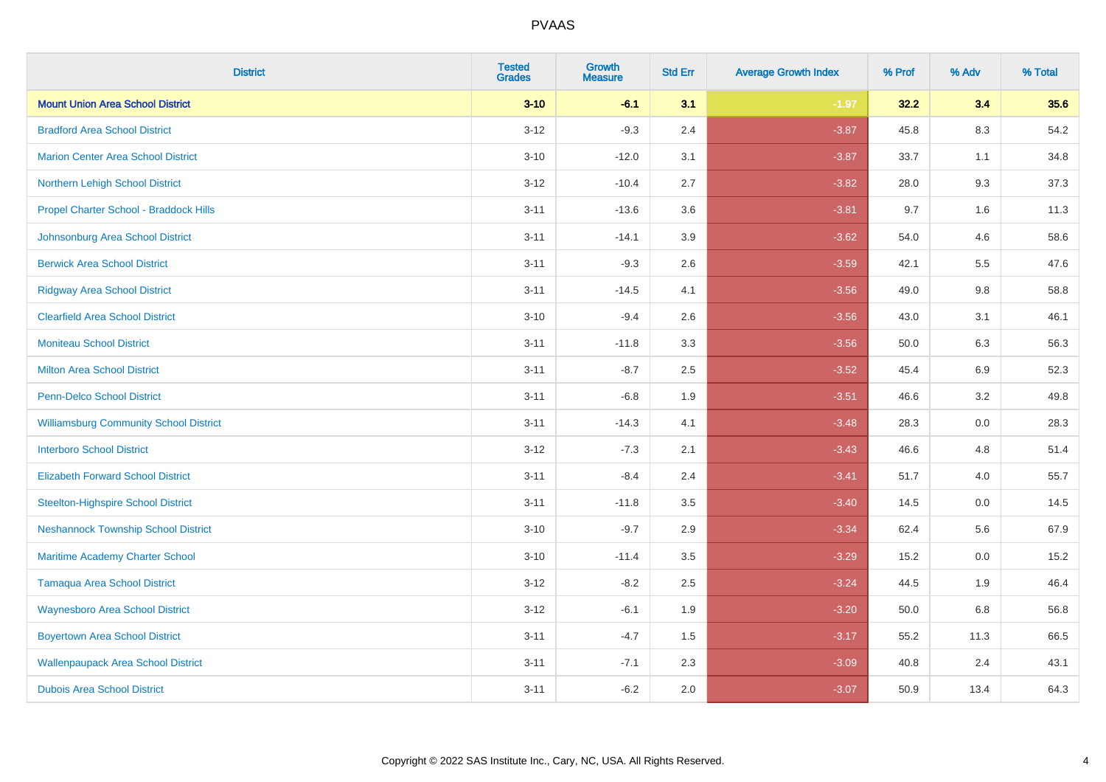| <b>District</b>                               | <b>Tested</b><br><b>Grades</b> | <b>Growth</b><br><b>Measure</b> | <b>Std Err</b> | <b>Average Growth Index</b> | % Prof | % Adv   | % Total |
|-----------------------------------------------|--------------------------------|---------------------------------|----------------|-----------------------------|--------|---------|---------|
| <b>Mount Union Area School District</b>       | $3 - 10$                       | $-6.1$                          | 3.1            | $-1.97$                     | 32.2   | 3.4     | 35.6    |
| <b>Bradford Area School District</b>          | $3 - 12$                       | $-9.3$                          | 2.4            | $-3.87$                     | 45.8   | $8.3\,$ | 54.2    |
| <b>Marion Center Area School District</b>     | $3 - 10$                       | $-12.0$                         | 3.1            | $-3.87$                     | 33.7   | 1.1     | 34.8    |
| Northern Lehigh School District               | $3 - 12$                       | $-10.4$                         | 2.7            | $-3.82$                     | 28.0   | 9.3     | 37.3    |
| Propel Charter School - Braddock Hills        | $3 - 11$                       | $-13.6$                         | 3.6            | $-3.81$                     | 9.7    | 1.6     | 11.3    |
| Johnsonburg Area School District              | $3 - 11$                       | $-14.1$                         | 3.9            | $-3.62$                     | 54.0   | 4.6     | 58.6    |
| <b>Berwick Area School District</b>           | $3 - 11$                       | $-9.3$                          | 2.6            | $-3.59$                     | 42.1   | 5.5     | 47.6    |
| <b>Ridgway Area School District</b>           | $3 - 11$                       | $-14.5$                         | 4.1            | $-3.56$                     | 49.0   | 9.8     | 58.8    |
| <b>Clearfield Area School District</b>        | $3 - 10$                       | $-9.4$                          | 2.6            | $-3.56$                     | 43.0   | 3.1     | 46.1    |
| <b>Moniteau School District</b>               | $3 - 11$                       | $-11.8$                         | 3.3            | $-3.56$                     | 50.0   | 6.3     | 56.3    |
| <b>Milton Area School District</b>            | $3 - 11$                       | $-8.7$                          | 2.5            | $-3.52$                     | 45.4   | 6.9     | 52.3    |
| <b>Penn-Delco School District</b>             | $3 - 11$                       | $-6.8$                          | 1.9            | $-3.51$                     | 46.6   | 3.2     | 49.8    |
| <b>Williamsburg Community School District</b> | $3 - 11$                       | $-14.3$                         | 4.1            | $-3.48$                     | 28.3   | $0.0\,$ | 28.3    |
| <b>Interboro School District</b>              | $3 - 12$                       | $-7.3$                          | 2.1            | $-3.43$                     | 46.6   | 4.8     | 51.4    |
| <b>Elizabeth Forward School District</b>      | $3 - 11$                       | $-8.4$                          | 2.4            | $-3.41$                     | 51.7   | 4.0     | 55.7    |
| <b>Steelton-Highspire School District</b>     | $3 - 11$                       | $-11.8$                         | 3.5            | $-3.40$                     | 14.5   | $0.0\,$ | 14.5    |
| <b>Neshannock Township School District</b>    | $3 - 10$                       | $-9.7$                          | 2.9            | $-3.34$                     | 62.4   | 5.6     | 67.9    |
| Maritime Academy Charter School               | $3 - 10$                       | $-11.4$                         | 3.5            | $-3.29$                     | 15.2   | 0.0     | 15.2    |
| <b>Tamaqua Area School District</b>           | $3 - 12$                       | $-8.2$                          | 2.5            | $-3.24$                     | 44.5   | 1.9     | 46.4    |
| <b>Waynesboro Area School District</b>        | $3 - 12$                       | $-6.1$                          | 1.9            | $-3.20$                     | 50.0   | 6.8     | 56.8    |
| <b>Boyertown Area School District</b>         | $3 - 11$                       | $-4.7$                          | 1.5            | $-3.17$                     | 55.2   | 11.3    | 66.5    |
| <b>Wallenpaupack Area School District</b>     | $3 - 11$                       | $-7.1$                          | 2.3            | $-3.09$                     | 40.8   | 2.4     | 43.1    |
| <b>Dubois Area School District</b>            | $3 - 11$                       | $-6.2$                          | 2.0            | $-3.07$                     | 50.9   | 13.4    | 64.3    |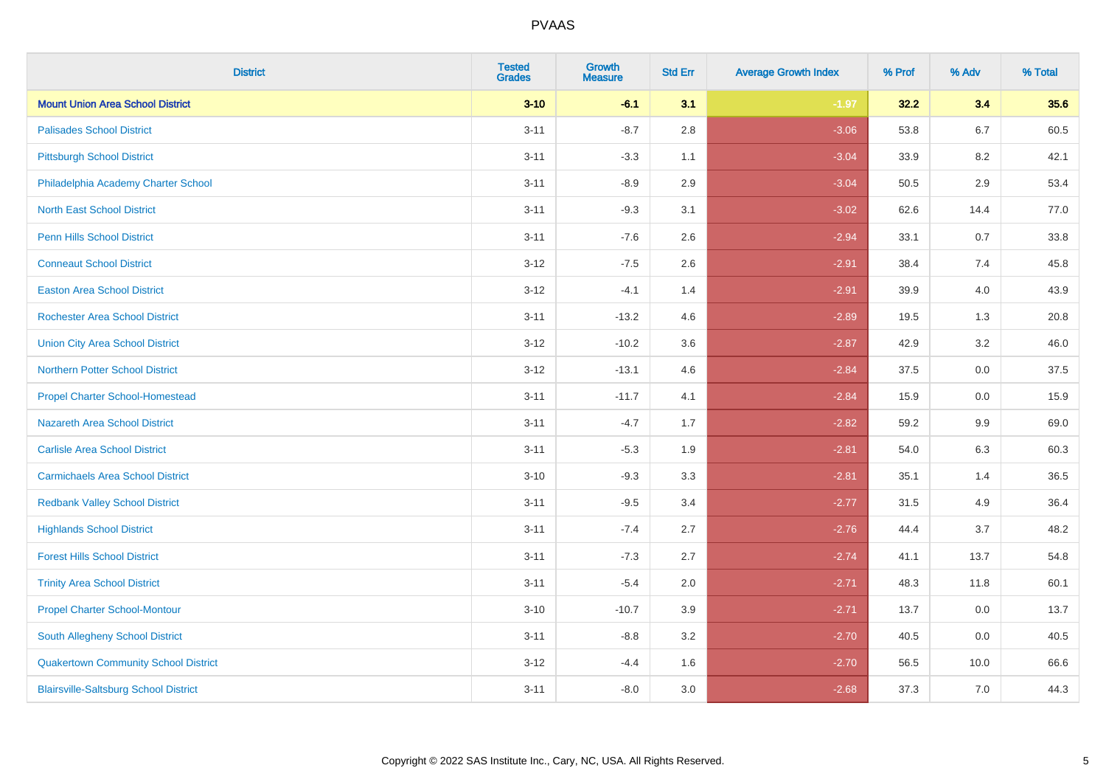| <b>District</b>                              | <b>Tested</b><br><b>Grades</b> | <b>Growth</b><br><b>Measure</b> | <b>Std Err</b> | <b>Average Growth Index</b> | % Prof | % Adv   | % Total |
|----------------------------------------------|--------------------------------|---------------------------------|----------------|-----------------------------|--------|---------|---------|
| <b>Mount Union Area School District</b>      | $3 - 10$                       | $-6.1$                          | 3.1            | $-1.97$                     | 32.2   | 3.4     | 35.6    |
| <b>Palisades School District</b>             | $3 - 11$                       | $-8.7$                          | 2.8            | $-3.06$                     | 53.8   | $6.7\,$ | 60.5    |
| <b>Pittsburgh School District</b>            | $3 - 11$                       | $-3.3$                          | 1.1            | $-3.04$                     | 33.9   | 8.2     | 42.1    |
| Philadelphia Academy Charter School          | $3 - 11$                       | $-8.9$                          | 2.9            | $-3.04$                     | 50.5   | 2.9     | 53.4    |
| <b>North East School District</b>            | $3 - 11$                       | $-9.3$                          | 3.1            | $-3.02$                     | 62.6   | 14.4    | 77.0    |
| <b>Penn Hills School District</b>            | $3 - 11$                       | $-7.6$                          | 2.6            | $-2.94$                     | 33.1   | 0.7     | 33.8    |
| <b>Conneaut School District</b>              | $3 - 12$                       | $-7.5$                          | 2.6            | $-2.91$                     | 38.4   | 7.4     | 45.8    |
| <b>Easton Area School District</b>           | $3-12$                         | $-4.1$                          | 1.4            | $-2.91$                     | 39.9   | 4.0     | 43.9    |
| <b>Rochester Area School District</b>        | $3 - 11$                       | $-13.2$                         | 4.6            | $-2.89$                     | 19.5   | 1.3     | 20.8    |
| <b>Union City Area School District</b>       | $3-12$                         | $-10.2$                         | 3.6            | $-2.87$                     | 42.9   | 3.2     | 46.0    |
| <b>Northern Potter School District</b>       | $3 - 12$                       | $-13.1$                         | 4.6            | $-2.84$                     | 37.5   | 0.0     | 37.5    |
| <b>Propel Charter School-Homestead</b>       | $3 - 11$                       | $-11.7$                         | 4.1            | $-2.84$                     | 15.9   | 0.0     | 15.9    |
| Nazareth Area School District                | $3 - 11$                       | $-4.7$                          | 1.7            | $-2.82$                     | 59.2   | 9.9     | 69.0    |
| <b>Carlisle Area School District</b>         | $3 - 11$                       | $-5.3$                          | 1.9            | $-2.81$                     | 54.0   | 6.3     | 60.3    |
| <b>Carmichaels Area School District</b>      | $3 - 10$                       | $-9.3$                          | 3.3            | $-2.81$                     | 35.1   | 1.4     | 36.5    |
| <b>Redbank Valley School District</b>        | $3 - 11$                       | $-9.5$                          | 3.4            | $-2.77$                     | 31.5   | 4.9     | 36.4    |
| <b>Highlands School District</b>             | $3 - 11$                       | $-7.4$                          | 2.7            | $-2.76$                     | 44.4   | 3.7     | 48.2    |
| <b>Forest Hills School District</b>          | $3 - 11$                       | $-7.3$                          | 2.7            | $-2.74$                     | 41.1   | 13.7    | 54.8    |
| <b>Trinity Area School District</b>          | $3 - 11$                       | $-5.4$                          | 2.0            | $-2.71$                     | 48.3   | 11.8    | 60.1    |
| <b>Propel Charter School-Montour</b>         | $3 - 10$                       | $-10.7$                         | 3.9            | $-2.71$                     | 13.7   | 0.0     | 13.7    |
| South Allegheny School District              | $3 - 11$                       | $-8.8$                          | 3.2            | $-2.70$                     | 40.5   | 0.0     | 40.5    |
| <b>Quakertown Community School District</b>  | $3 - 12$                       | $-4.4$                          | 1.6            | $-2.70$                     | 56.5   | 10.0    | 66.6    |
| <b>Blairsville-Saltsburg School District</b> | $3 - 11$                       | $-8.0$                          | 3.0            | $-2.68$                     | 37.3   | 7.0     | 44.3    |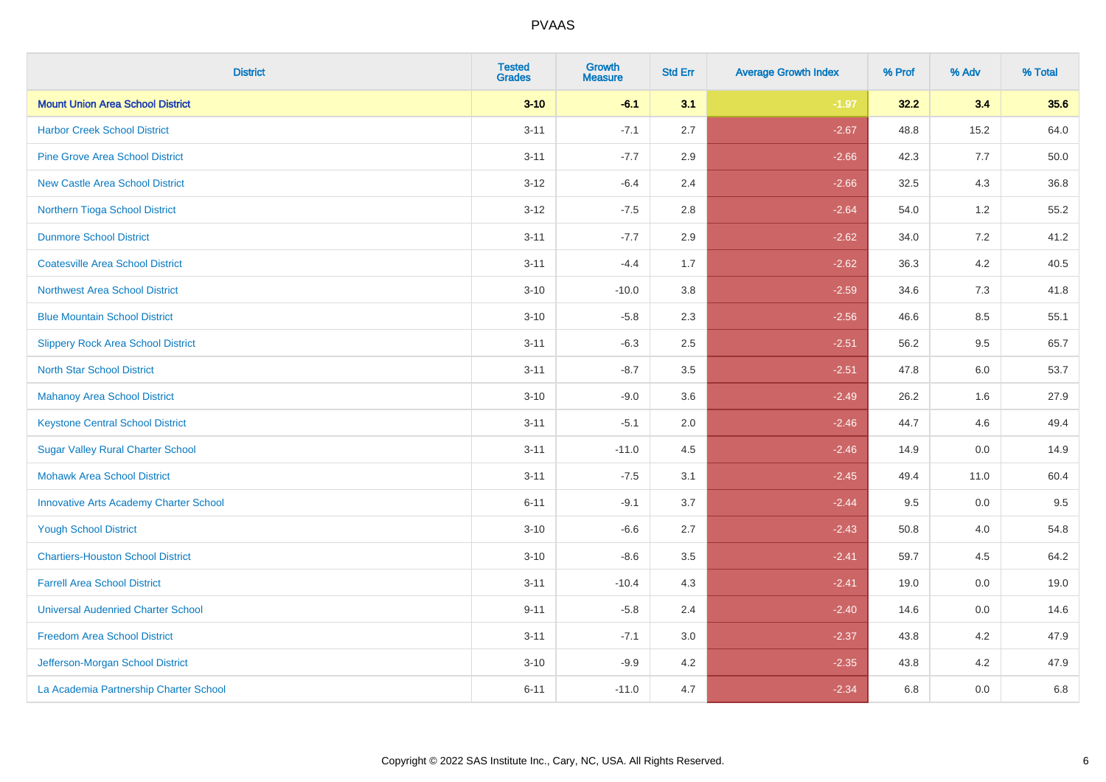| <b>District</b>                               | <b>Tested</b><br><b>Grades</b> | <b>Growth</b><br><b>Measure</b> | <b>Std Err</b> | <b>Average Growth Index</b> | % Prof | % Adv   | % Total |
|-----------------------------------------------|--------------------------------|---------------------------------|----------------|-----------------------------|--------|---------|---------|
| <b>Mount Union Area School District</b>       | $3 - 10$                       | $-6.1$                          | 3.1            | $-1.97$                     | 32.2   | 3.4     | 35.6    |
| <b>Harbor Creek School District</b>           | $3 - 11$                       | $-7.1$                          | 2.7            | $-2.67$                     | 48.8   | 15.2    | 64.0    |
| <b>Pine Grove Area School District</b>        | $3 - 11$                       | $-7.7$                          | 2.9            | $-2.66$                     | 42.3   | 7.7     | 50.0    |
| <b>New Castle Area School District</b>        | $3-12$                         | $-6.4$                          | 2.4            | $-2.66$                     | 32.5   | $4.3$   | 36.8    |
| Northern Tioga School District                | $3 - 12$                       | $-7.5$                          | 2.8            | $-2.64$                     | 54.0   | 1.2     | 55.2    |
| <b>Dunmore School District</b>                | $3 - 11$                       | $-7.7$                          | 2.9            | $-2.62$                     | 34.0   | 7.2     | 41.2    |
| <b>Coatesville Area School District</b>       | $3 - 11$                       | $-4.4$                          | 1.7            | $-2.62$                     | 36.3   | $4.2\,$ | 40.5    |
| <b>Northwest Area School District</b>         | $3 - 10$                       | $-10.0$                         | 3.8            | $-2.59$                     | 34.6   | 7.3     | 41.8    |
| <b>Blue Mountain School District</b>          | $3 - 10$                       | $-5.8$                          | 2.3            | $-2.56$                     | 46.6   | 8.5     | 55.1    |
| <b>Slippery Rock Area School District</b>     | $3 - 11$                       | $-6.3$                          | 2.5            | $-2.51$                     | 56.2   | $9.5\,$ | 65.7    |
| <b>North Star School District</b>             | $3 - 11$                       | $-8.7$                          | 3.5            | $-2.51$                     | 47.8   | 6.0     | 53.7    |
| <b>Mahanoy Area School District</b>           | $3 - 10$                       | $-9.0$                          | 3.6            | $-2.49$                     | 26.2   | 1.6     | 27.9    |
| <b>Keystone Central School District</b>       | $3 - 11$                       | $-5.1$                          | 2.0            | $-2.46$                     | 44.7   | 4.6     | 49.4    |
| <b>Sugar Valley Rural Charter School</b>      | $3 - 11$                       | $-11.0$                         | 4.5            | $-2.46$                     | 14.9   | $0.0\,$ | 14.9    |
| <b>Mohawk Area School District</b>            | $3 - 11$                       | $-7.5$                          | 3.1            | $-2.45$                     | 49.4   | 11.0    | 60.4    |
| <b>Innovative Arts Academy Charter School</b> | $6 - 11$                       | $-9.1$                          | 3.7            | $-2.44$                     | 9.5    | 0.0     | 9.5     |
| <b>Yough School District</b>                  | $3 - 10$                       | $-6.6$                          | 2.7            | $-2.43$                     | 50.8   | 4.0     | 54.8    |
| <b>Chartiers-Houston School District</b>      | $3 - 10$                       | $-8.6$                          | 3.5            | $-2.41$                     | 59.7   | 4.5     | 64.2    |
| <b>Farrell Area School District</b>           | $3 - 11$                       | $-10.4$                         | 4.3            | $-2.41$                     | 19.0   | 0.0     | 19.0    |
| <b>Universal Audenried Charter School</b>     | $9 - 11$                       | $-5.8$                          | 2.4            | $-2.40$                     | 14.6   | 0.0     | 14.6    |
| <b>Freedom Area School District</b>           | $3 - 11$                       | $-7.1$                          | 3.0            | $-2.37$                     | 43.8   | 4.2     | 47.9    |
| Jefferson-Morgan School District              | $3 - 10$                       | $-9.9$                          | 4.2            | $-2.35$                     | 43.8   | 4.2     | 47.9    |
| La Academia Partnership Charter School        | $6 - 11$                       | $-11.0$                         | 4.7            | $-2.34$                     | 6.8    | 0.0     | 6.8     |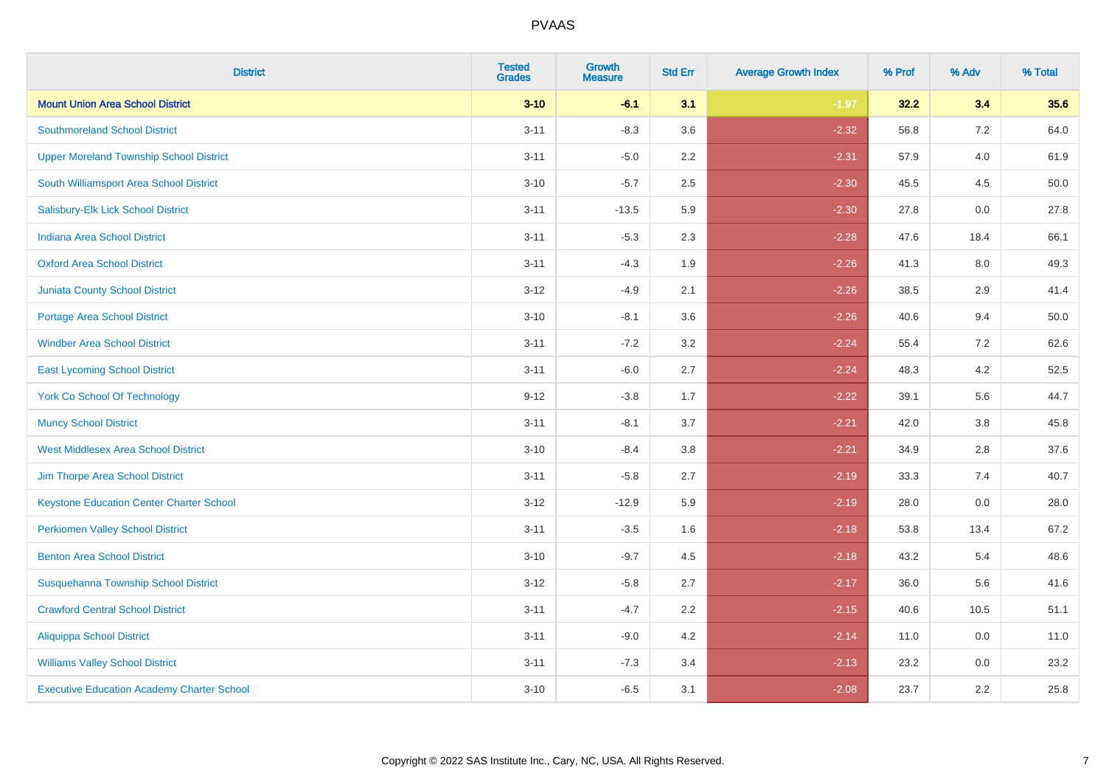| <b>District</b>                                   | <b>Tested</b><br><b>Grades</b> | <b>Growth</b><br><b>Measure</b> | <b>Std Err</b> | <b>Average Growth Index</b> | % Prof | % Adv   | % Total |
|---------------------------------------------------|--------------------------------|---------------------------------|----------------|-----------------------------|--------|---------|---------|
| <b>Mount Union Area School District</b>           | $3 - 10$                       | $-6.1$                          | 3.1            | $-1.97$                     | 32.2   | 3.4     | 35.6    |
| <b>Southmoreland School District</b>              | $3 - 11$                       | $-8.3$                          | 3.6            | $-2.32$                     | 56.8   | $7.2\,$ | 64.0    |
| <b>Upper Moreland Township School District</b>    | $3 - 11$                       | $-5.0$                          | 2.2            | $-2.31$                     | 57.9   | 4.0     | 61.9    |
| South Williamsport Area School District           | $3 - 10$                       | $-5.7$                          | 2.5            | $-2.30$                     | 45.5   | 4.5     | 50.0    |
| Salisbury-Elk Lick School District                | $3 - 11$                       | $-13.5$                         | 5.9            | $-2.30$                     | 27.8   | 0.0     | 27.8    |
| Indiana Area School District                      | $3 - 11$                       | $-5.3$                          | 2.3            | $-2.28$                     | 47.6   | 18.4    | 66.1    |
| <b>Oxford Area School District</b>                | $3 - 11$                       | $-4.3$                          | 1.9            | $-2.26$                     | 41.3   | 8.0     | 49.3    |
| <b>Juniata County School District</b>             | $3 - 12$                       | $-4.9$                          | 2.1            | $-2.26$                     | 38.5   | 2.9     | 41.4    |
| <b>Portage Area School District</b>               | $3 - 10$                       | $-8.1$                          | 3.6            | $-2.26$                     | 40.6   | 9.4     | 50.0    |
| <b>Windber Area School District</b>               | $3 - 11$                       | $-7.2$                          | 3.2            | $-2.24$                     | 55.4   | 7.2     | 62.6    |
| <b>East Lycoming School District</b>              | $3 - 11$                       | $-6.0$                          | 2.7            | $-2.24$                     | 48.3   | 4.2     | 52.5    |
| <b>York Co School Of Technology</b>               | $9 - 12$                       | $-3.8$                          | 1.7            | $-2.22$                     | 39.1   | 5.6     | 44.7    |
| <b>Muncy School District</b>                      | $3 - 11$                       | $-8.1$                          | 3.7            | $-2.21$                     | 42.0   | $3.8\,$ | 45.8    |
| <b>West Middlesex Area School District</b>        | $3 - 10$                       | $-8.4$                          | $3.8\,$        | $-2.21$                     | 34.9   | 2.8     | 37.6    |
| Jim Thorpe Area School District                   | $3 - 11$                       | $-5.8$                          | 2.7            | $-2.19$                     | 33.3   | 7.4     | 40.7    |
| <b>Keystone Education Center Charter School</b>   | $3 - 12$                       | $-12.9$                         | 5.9            | $-2.19$                     | 28.0   | $0.0\,$ | 28.0    |
| <b>Perkiomen Valley School District</b>           | $3 - 11$                       | $-3.5$                          | 1.6            | $-2.18$                     | 53.8   | 13.4    | 67.2    |
| <b>Benton Area School District</b>                | $3 - 10$                       | $-9.7$                          | 4.5            | $-2.18$                     | 43.2   | 5.4     | 48.6    |
| Susquehanna Township School District              | $3 - 12$                       | $-5.8$                          | 2.7            | $-2.17$                     | 36.0   | 5.6     | 41.6    |
| <b>Crawford Central School District</b>           | $3 - 11$                       | $-4.7$                          | 2.2            | $-2.15$                     | 40.6   | 10.5    | 51.1    |
| <b>Aliquippa School District</b>                  | $3 - 11$                       | $-9.0$                          | 4.2            | $-2.14$                     | 11.0   | 0.0     | 11.0    |
| <b>Williams Valley School District</b>            | $3 - 11$                       | $-7.3$                          | 3.4            | $-2.13$                     | 23.2   | 0.0     | 23.2    |
| <b>Executive Education Academy Charter School</b> | $3 - 10$                       | $-6.5$                          | 3.1            | $-2.08$                     | 23.7   | 2.2     | 25.8    |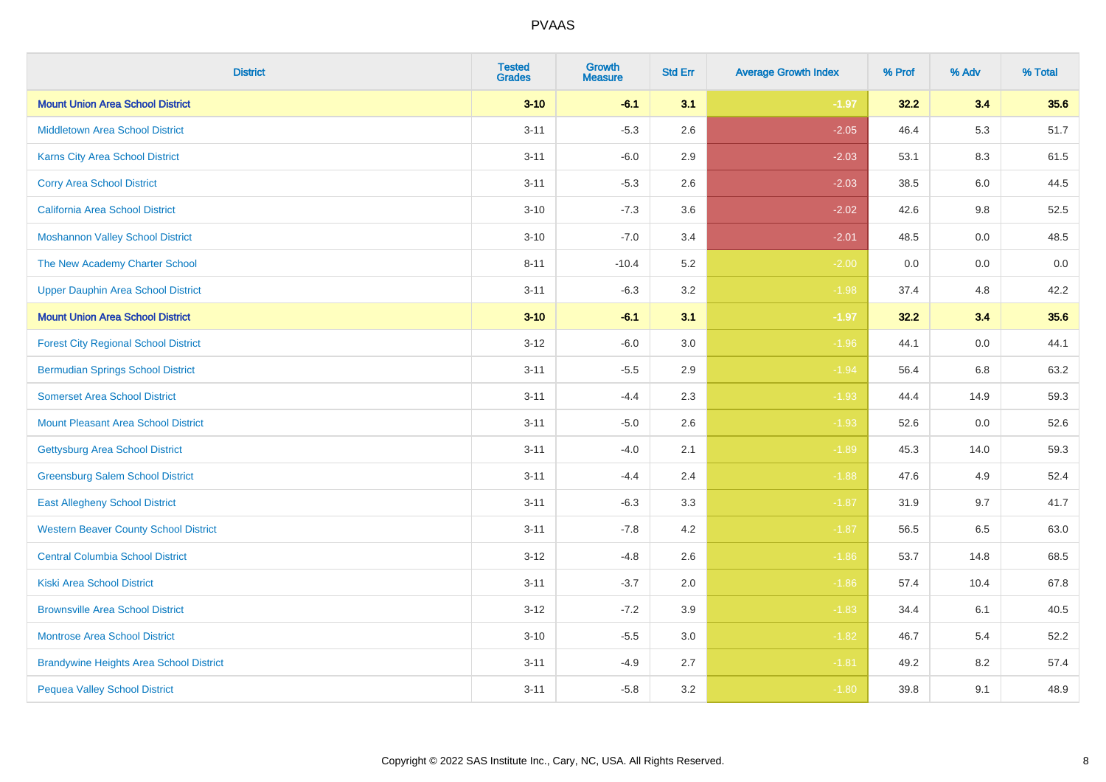| <b>District</b>                                | <b>Tested</b><br><b>Grades</b> | <b>Growth</b><br><b>Measure</b> | <b>Std Err</b> | <b>Average Growth Index</b> | % Prof | % Adv | % Total |
|------------------------------------------------|--------------------------------|---------------------------------|----------------|-----------------------------|--------|-------|---------|
| <b>Mount Union Area School District</b>        | $3 - 10$                       | $-6.1$                          | 3.1            | $-1.97$                     | 32.2   | 3.4   | 35.6    |
| <b>Middletown Area School District</b>         | $3 - 11$                       | $-5.3$                          | 2.6            | $-2.05$                     | 46.4   | 5.3   | 51.7    |
| <b>Karns City Area School District</b>         | $3 - 11$                       | $-6.0$                          | 2.9            | $-2.03$                     | 53.1   | 8.3   | 61.5    |
| <b>Corry Area School District</b>              | $3 - 11$                       | $-5.3$                          | 2.6            | $-2.03$                     | 38.5   | 6.0   | 44.5    |
| <b>California Area School District</b>         | $3 - 10$                       | $-7.3$                          | 3.6            | $-2.02$                     | 42.6   | 9.8   | 52.5    |
| <b>Moshannon Valley School District</b>        | $3 - 10$                       | $-7.0$                          | 3.4            | $-2.01$                     | 48.5   | 0.0   | 48.5    |
| The New Academy Charter School                 | $8 - 11$                       | $-10.4$                         | 5.2            | $-2.00$                     | 0.0    | 0.0   | 0.0     |
| <b>Upper Dauphin Area School District</b>      | $3 - 11$                       | $-6.3$                          | 3.2            | $-1.98$                     | 37.4   | 4.8   | 42.2    |
| <b>Mount Union Area School District</b>        | $3 - 10$                       | $-6.1$                          | 3.1            | $-1.97$                     | 32.2   | 3.4   | 35.6    |
| <b>Forest City Regional School District</b>    | $3 - 12$                       | $-6.0$                          | 3.0            | $-1.96$                     | 44.1   | 0.0   | 44.1    |
| <b>Bermudian Springs School District</b>       | $3 - 11$                       | $-5.5$                          | 2.9            | $-1.94$                     | 56.4   | 6.8   | 63.2    |
| <b>Somerset Area School District</b>           | $3 - 11$                       | $-4.4$                          | 2.3            | $-1.93$                     | 44.4   | 14.9  | 59.3    |
| <b>Mount Pleasant Area School District</b>     | $3 - 11$                       | $-5.0$                          | 2.6            | $-1.93$                     | 52.6   | 0.0   | 52.6    |
| Gettysburg Area School District                | $3 - 11$                       | $-4.0$                          | 2.1            | $-1.89$                     | 45.3   | 14.0  | 59.3    |
| <b>Greensburg Salem School District</b>        | $3 - 11$                       | $-4.4$                          | 2.4            | $-1.88$                     | 47.6   | 4.9   | 52.4    |
| <b>East Allegheny School District</b>          | $3 - 11$                       | $-6.3$                          | 3.3            | $-1.87$                     | 31.9   | 9.7   | 41.7    |
| <b>Western Beaver County School District</b>   | $3 - 11$                       | $-7.8$                          | 4.2            | $-1.87$                     | 56.5   | 6.5   | 63.0    |
| <b>Central Columbia School District</b>        | $3 - 12$                       | $-4.8$                          | 2.6            | $-1.86$                     | 53.7   | 14.8  | 68.5    |
| <b>Kiski Area School District</b>              | $3 - 11$                       | $-3.7$                          | 2.0            | $-1.86$                     | 57.4   | 10.4  | 67.8    |
| <b>Brownsville Area School District</b>        | $3 - 12$                       | $-7.2$                          | 3.9            | $-1.83$                     | 34.4   | 6.1   | 40.5    |
| <b>Montrose Area School District</b>           | $3 - 10$                       | $-5.5$                          | 3.0            | $-1.82$                     | 46.7   | 5.4   | 52.2    |
| <b>Brandywine Heights Area School District</b> | $3 - 11$                       | $-4.9$                          | 2.7            | $-1.81$                     | 49.2   | 8.2   | 57.4    |
| <b>Pequea Valley School District</b>           | $3 - 11$                       | $-5.8$                          | 3.2            | $-1.80$                     | 39.8   | 9.1   | 48.9    |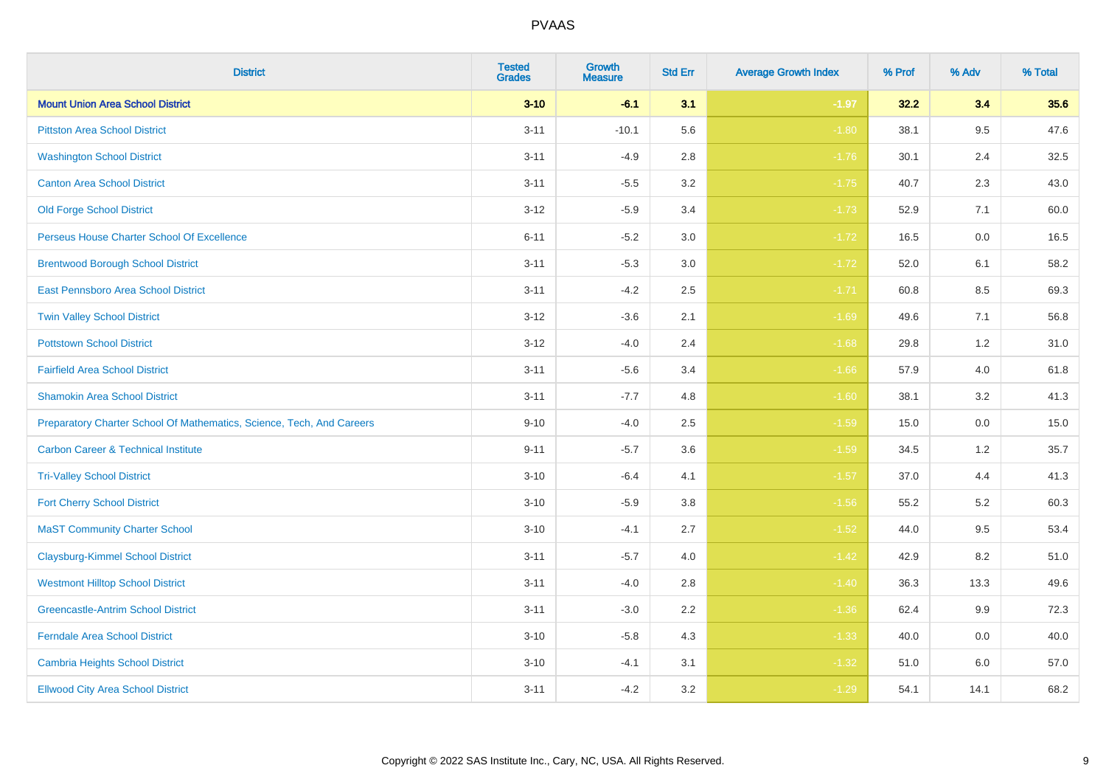| <b>District</b>                                                       | <b>Tested</b><br><b>Grades</b> | Growth<br><b>Measure</b> | <b>Std Err</b> | <b>Average Growth Index</b> | % Prof | % Adv | % Total |
|-----------------------------------------------------------------------|--------------------------------|--------------------------|----------------|-----------------------------|--------|-------|---------|
| <b>Mount Union Area School District</b>                               | $3 - 10$                       | $-6.1$                   | 3.1            | $-1.97$                     | 32.2   | 3.4   | 35.6    |
| <b>Pittston Area School District</b>                                  | $3 - 11$                       | $-10.1$                  | 5.6            | $-1.80$                     | 38.1   | 9.5   | 47.6    |
| <b>Washington School District</b>                                     | $3 - 11$                       | $-4.9$                   | 2.8            | $-1.76$                     | 30.1   | 2.4   | 32.5    |
| <b>Canton Area School District</b>                                    | $3 - 11$                       | $-5.5$                   | $3.2\,$        | $-1.75$                     | 40.7   | 2.3   | 43.0    |
| <b>Old Forge School District</b>                                      | $3 - 12$                       | $-5.9$                   | 3.4            | $-1.73$                     | 52.9   | 7.1   | 60.0    |
| Perseus House Charter School Of Excellence                            | $6 - 11$                       | $-5.2$                   | 3.0            | $-1.72$                     | 16.5   | 0.0   | 16.5    |
| <b>Brentwood Borough School District</b>                              | $3 - 11$                       | $-5.3$                   | $3.0\,$        | $-1.72$                     | 52.0   | 6.1   | 58.2    |
| East Pennsboro Area School District                                   | $3 - 11$                       | $-4.2$                   | 2.5            | $-1.71$                     | 60.8   | 8.5   | 69.3    |
| <b>Twin Valley School District</b>                                    | $3 - 12$                       | $-3.6$                   | 2.1            | $-1.69$                     | 49.6   | 7.1   | 56.8    |
| <b>Pottstown School District</b>                                      | $3 - 12$                       | $-4.0$                   | 2.4            | $-1.68$                     | 29.8   | 1.2   | 31.0    |
| <b>Fairfield Area School District</b>                                 | $3 - 11$                       | $-5.6$                   | 3.4            | $-1.66$                     | 57.9   | 4.0   | 61.8    |
| <b>Shamokin Area School District</b>                                  | $3 - 11$                       | $-7.7$                   | 4.8            | $-1.60$                     | 38.1   | 3.2   | 41.3    |
| Preparatory Charter School Of Mathematics, Science, Tech, And Careers | $9 - 10$                       | $-4.0$                   | 2.5            | $-1.59$                     | 15.0   | 0.0   | 15.0    |
| <b>Carbon Career &amp; Technical Institute</b>                        | $9 - 11$                       | $-5.7$                   | 3.6            | $-1.59$                     | 34.5   | 1.2   | 35.7    |
| <b>Tri-Valley School District</b>                                     | $3 - 10$                       | $-6.4$                   | 4.1            | $-1.57$                     | 37.0   | 4.4   | 41.3    |
| <b>Fort Cherry School District</b>                                    | $3 - 10$                       | $-5.9$                   | 3.8            | $-1.56$                     | 55.2   | 5.2   | 60.3    |
| <b>MaST Community Charter School</b>                                  | $3 - 10$                       | $-4.1$                   | 2.7            | $-1.52$                     | 44.0   | 9.5   | 53.4    |
| <b>Claysburg-Kimmel School District</b>                               | $3 - 11$                       | $-5.7$                   | 4.0            | $-1.42$                     | 42.9   | 8.2   | 51.0    |
| <b>Westmont Hilltop School District</b>                               | $3 - 11$                       | $-4.0$                   | 2.8            | $-1.40$                     | 36.3   | 13.3  | 49.6    |
| <b>Greencastle-Antrim School District</b>                             | $3 - 11$                       | $-3.0$                   | 2.2            | $-1.36$                     | 62.4   | 9.9   | 72.3    |
| <b>Ferndale Area School District</b>                                  | $3 - 10$                       | $-5.8$                   | 4.3            | $-1.33$                     | 40.0   | 0.0   | 40.0    |
| <b>Cambria Heights School District</b>                                | $3 - 10$                       | $-4.1$                   | 3.1            | $-1.32$                     | 51.0   | 6.0   | 57.0    |
| <b>Ellwood City Area School District</b>                              | $3 - 11$                       | $-4.2$                   | 3.2            | $-1.29$                     | 54.1   | 14.1  | 68.2    |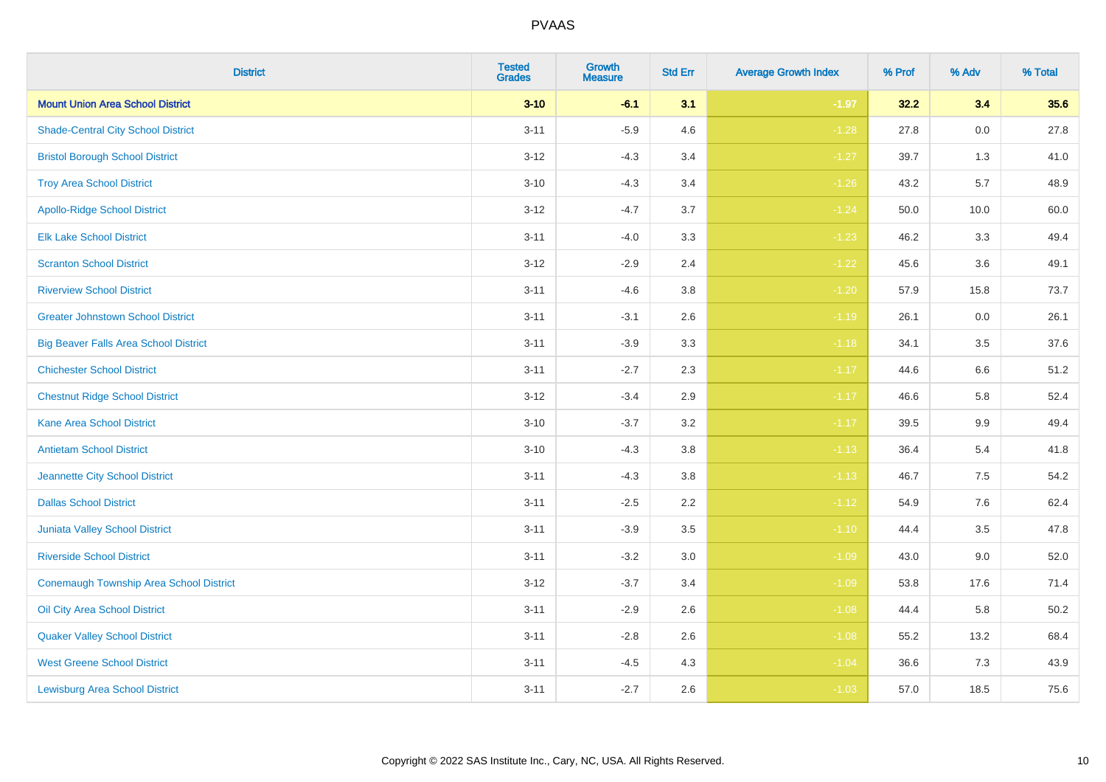| <b>District</b>                                | <b>Tested</b><br><b>Grades</b> | <b>Growth</b><br><b>Measure</b> | <b>Std Err</b> | <b>Average Growth Index</b> | % Prof | % Adv   | % Total |
|------------------------------------------------|--------------------------------|---------------------------------|----------------|-----------------------------|--------|---------|---------|
| <b>Mount Union Area School District</b>        | $3 - 10$                       | $-6.1$                          | 3.1            | $-1.97$                     | 32.2   | 3.4     | 35.6    |
| <b>Shade-Central City School District</b>      | $3 - 11$                       | $-5.9$                          | 4.6            | $-1.28$                     | 27.8   | $0.0\,$ | 27.8    |
| <b>Bristol Borough School District</b>         | $3 - 12$                       | $-4.3$                          | 3.4            | $-1.27$                     | 39.7   | 1.3     | 41.0    |
| <b>Troy Area School District</b>               | $3 - 10$                       | $-4.3$                          | 3.4            | $-1.26$                     | 43.2   | 5.7     | 48.9    |
| <b>Apollo-Ridge School District</b>            | $3 - 12$                       | $-4.7$                          | 3.7            | $-1.24$                     | 50.0   | 10.0    | 60.0    |
| <b>Elk Lake School District</b>                | $3 - 11$                       | $-4.0$                          | 3.3            | $-1.23$                     | 46.2   | 3.3     | 49.4    |
| <b>Scranton School District</b>                | $3 - 12$                       | $-2.9$                          | 2.4            | $-1.22$                     | 45.6   | 3.6     | 49.1    |
| <b>Riverview School District</b>               | $3 - 11$                       | $-4.6$                          | 3.8            | $-1.20$                     | 57.9   | 15.8    | 73.7    |
| <b>Greater Johnstown School District</b>       | $3 - 11$                       | $-3.1$                          | 2.6            | $-1.19$                     | 26.1   | 0.0     | 26.1    |
| <b>Big Beaver Falls Area School District</b>   | $3 - 11$                       | $-3.9$                          | 3.3            | $-1.18$                     | 34.1   | $3.5\,$ | 37.6    |
| <b>Chichester School District</b>              | $3 - 11$                       | $-2.7$                          | 2.3            | $-1.17$                     | 44.6   | 6.6     | 51.2    |
| <b>Chestnut Ridge School District</b>          | $3 - 12$                       | $-3.4$                          | 2.9            | $-1.17$                     | 46.6   | 5.8     | 52.4    |
| <b>Kane Area School District</b>               | $3 - 10$                       | $-3.7$                          | 3.2            | $-1.17$                     | 39.5   | $9.9\,$ | 49.4    |
| <b>Antietam School District</b>                | $3 - 10$                       | $-4.3$                          | 3.8            | $-1.13$                     | 36.4   | 5.4     | 41.8    |
| Jeannette City School District                 | $3 - 11$                       | $-4.3$                          | 3.8            | $-1.13$                     | 46.7   | 7.5     | 54.2    |
| <b>Dallas School District</b>                  | $3 - 11$                       | $-2.5$                          | 2.2            | $-1.12$                     | 54.9   | 7.6     | 62.4    |
| <b>Juniata Valley School District</b>          | $3 - 11$                       | $-3.9$                          | 3.5            | $-1.10$                     | 44.4   | 3.5     | 47.8    |
| <b>Riverside School District</b>               | $3 - 11$                       | $-3.2$                          | 3.0            | $-1.09$                     | 43.0   | 9.0     | 52.0    |
| <b>Conemaugh Township Area School District</b> | $3 - 12$                       | $-3.7$                          | 3.4            | $-1.09$                     | 53.8   | 17.6    | 71.4    |
| Oil City Area School District                  | $3 - 11$                       | $-2.9$                          | 2.6            | $-1.08$                     | 44.4   | 5.8     | 50.2    |
| <b>Quaker Valley School District</b>           | $3 - 11$                       | $-2.8$                          | 2.6            | $-1.08$                     | 55.2   | 13.2    | 68.4    |
| <b>West Greene School District</b>             | $3 - 11$                       | $-4.5$                          | 4.3            | $-1.04$                     | 36.6   | 7.3     | 43.9    |
| <b>Lewisburg Area School District</b>          | $3 - 11$                       | $-2.7$                          | 2.6            | $-1.03$                     | 57.0   | 18.5    | 75.6    |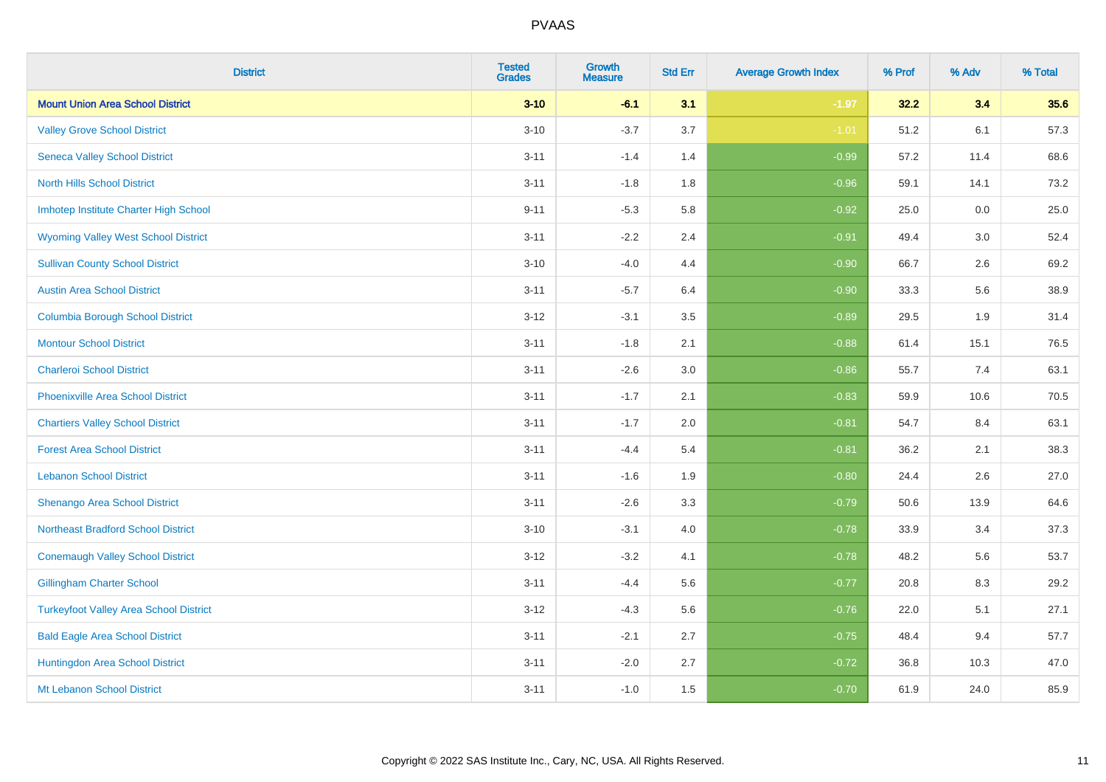| <b>District</b>                               | <b>Tested</b><br><b>Grades</b> | <b>Growth</b><br><b>Measure</b> | <b>Std Err</b> | <b>Average Growth Index</b> | % Prof | % Adv | % Total |
|-----------------------------------------------|--------------------------------|---------------------------------|----------------|-----------------------------|--------|-------|---------|
| <b>Mount Union Area School District</b>       | $3 - 10$                       | $-6.1$                          | 3.1            | $-1.97$                     | 32.2   | 3.4   | 35.6    |
| <b>Valley Grove School District</b>           | $3 - 10$                       | $-3.7$                          | 3.7            | $-1.01$                     | 51.2   | 6.1   | 57.3    |
| <b>Seneca Valley School District</b>          | $3 - 11$                       | $-1.4$                          | 1.4            | $-0.99$                     | 57.2   | 11.4  | 68.6    |
| <b>North Hills School District</b>            | $3 - 11$                       | $-1.8$                          | 1.8            | $-0.96$                     | 59.1   | 14.1  | 73.2    |
| Imhotep Institute Charter High School         | $9 - 11$                       | $-5.3$                          | 5.8            | $-0.92$                     | 25.0   | 0.0   | 25.0    |
| <b>Wyoming Valley West School District</b>    | $3 - 11$                       | $-2.2$                          | 2.4            | $-0.91$                     | 49.4   | 3.0   | 52.4    |
| <b>Sullivan County School District</b>        | $3 - 10$                       | $-4.0$                          | 4.4            | $-0.90$                     | 66.7   | 2.6   | 69.2    |
| <b>Austin Area School District</b>            | $3 - 11$                       | $-5.7$                          | 6.4            | $-0.90$                     | 33.3   | 5.6   | 38.9    |
| <b>Columbia Borough School District</b>       | $3 - 12$                       | $-3.1$                          | 3.5            | $-0.89$                     | 29.5   | 1.9   | 31.4    |
| <b>Montour School District</b>                | $3 - 11$                       | $-1.8$                          | 2.1            | $-0.88$                     | 61.4   | 15.1  | 76.5    |
| <b>Charleroi School District</b>              | $3 - 11$                       | $-2.6$                          | 3.0            | $-0.86$                     | 55.7   | 7.4   | 63.1    |
| <b>Phoenixville Area School District</b>      | $3 - 11$                       | $-1.7$                          | 2.1            | $-0.83$                     | 59.9   | 10.6  | 70.5    |
| <b>Chartiers Valley School District</b>       | $3 - 11$                       | $-1.7$                          | 2.0            | $-0.81$                     | 54.7   | 8.4   | 63.1    |
| <b>Forest Area School District</b>            | $3 - 11$                       | $-4.4$                          | 5.4            | $-0.81$                     | 36.2   | 2.1   | 38.3    |
| <b>Lebanon School District</b>                | $3 - 11$                       | $-1.6$                          | 1.9            | $-0.80$                     | 24.4   | 2.6   | 27.0    |
| Shenango Area School District                 | $3 - 11$                       | $-2.6$                          | 3.3            | $-0.79$                     | 50.6   | 13.9  | 64.6    |
| <b>Northeast Bradford School District</b>     | $3 - 10$                       | $-3.1$                          | 4.0            | $-0.78$                     | 33.9   | 3.4   | 37.3    |
| <b>Conemaugh Valley School District</b>       | $3 - 12$                       | $-3.2$                          | 4.1            | $-0.78$                     | 48.2   | 5.6   | 53.7    |
| <b>Gillingham Charter School</b>              | $3 - 11$                       | $-4.4$                          | 5.6            | $-0.77$                     | 20.8   | 8.3   | 29.2    |
| <b>Turkeyfoot Valley Area School District</b> | $3 - 12$                       | $-4.3$                          | 5.6            | $-0.76$                     | 22.0   | 5.1   | 27.1    |
| <b>Bald Eagle Area School District</b>        | $3 - 11$                       | $-2.1$                          | 2.7            | $-0.75$                     | 48.4   | 9.4   | 57.7    |
| Huntingdon Area School District               | $3 - 11$                       | $-2.0$                          | 2.7            | $-0.72$                     | 36.8   | 10.3  | 47.0    |
| Mt Lebanon School District                    | $3 - 11$                       | $-1.0$                          | 1.5            | $-0.70$                     | 61.9   | 24.0  | 85.9    |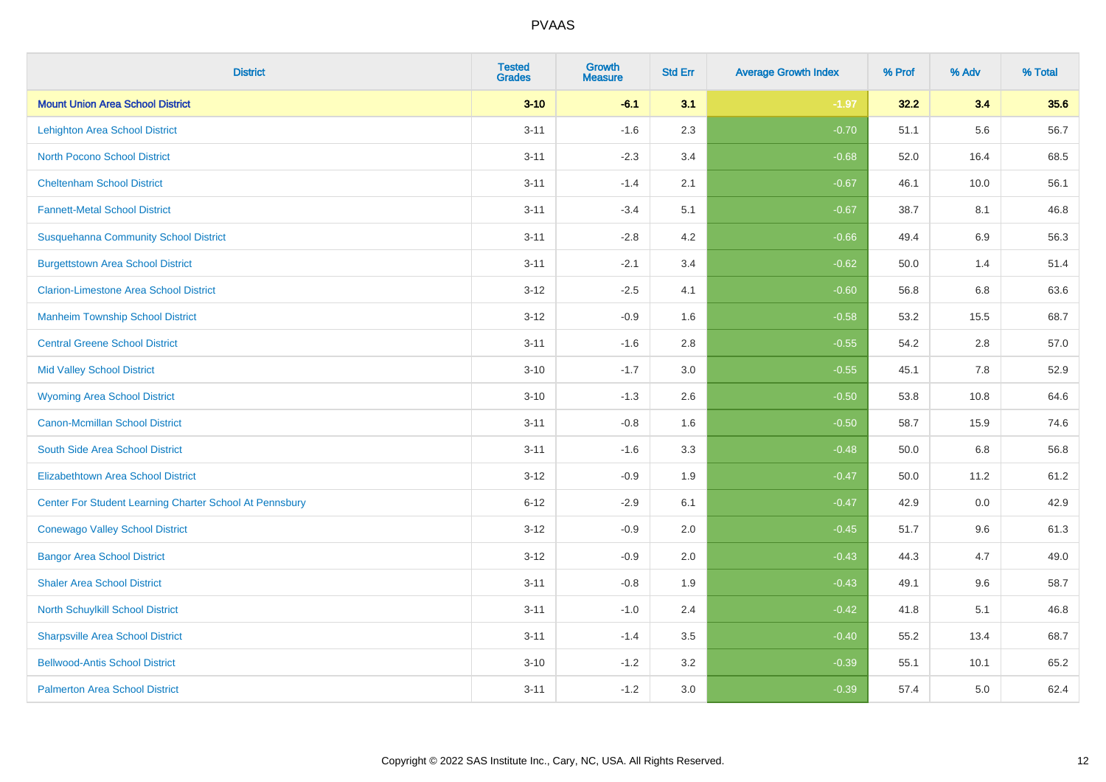| <b>District</b>                                         | <b>Tested</b><br><b>Grades</b> | <b>Growth</b><br><b>Measure</b> | <b>Std Err</b> | <b>Average Growth Index</b> | % Prof | % Adv | % Total |
|---------------------------------------------------------|--------------------------------|---------------------------------|----------------|-----------------------------|--------|-------|---------|
| <b>Mount Union Area School District</b>                 | $3 - 10$                       | $-6.1$                          | 3.1            | $-1.97$                     | 32.2   | 3.4   | 35.6    |
| <b>Lehighton Area School District</b>                   | $3 - 11$                       | $-1.6$                          | 2.3            | $-0.70$                     | 51.1   | 5.6   | 56.7    |
| <b>North Pocono School District</b>                     | $3 - 11$                       | $-2.3$                          | 3.4            | $-0.68$                     | 52.0   | 16.4  | 68.5    |
| <b>Cheltenham School District</b>                       | $3 - 11$                       | $-1.4$                          | 2.1            | $-0.67$                     | 46.1   | 10.0  | 56.1    |
| <b>Fannett-Metal School District</b>                    | $3 - 11$                       | $-3.4$                          | 5.1            | $-0.67$                     | 38.7   | 8.1   | 46.8    |
| <b>Susquehanna Community School District</b>            | $3 - 11$                       | $-2.8$                          | 4.2            | $-0.66$                     | 49.4   | 6.9   | 56.3    |
| <b>Burgettstown Area School District</b>                | $3 - 11$                       | $-2.1$                          | 3.4            | $-0.62$                     | 50.0   | 1.4   | 51.4    |
| <b>Clarion-Limestone Area School District</b>           | $3 - 12$                       | $-2.5$                          | 4.1            | $-0.60$                     | 56.8   | 6.8   | 63.6    |
| <b>Manheim Township School District</b>                 | $3 - 12$                       | $-0.9$                          | 1.6            | $-0.58$                     | 53.2   | 15.5  | 68.7    |
| <b>Central Greene School District</b>                   | $3 - 11$                       | $-1.6$                          | 2.8            | $-0.55$                     | 54.2   | 2.8   | 57.0    |
| <b>Mid Valley School District</b>                       | $3 - 10$                       | $-1.7$                          | 3.0            | $-0.55$                     | 45.1   | 7.8   | 52.9    |
| <b>Wyoming Area School District</b>                     | $3 - 10$                       | $-1.3$                          | 2.6            | $-0.50$                     | 53.8   | 10.8  | 64.6    |
| Canon-Mcmillan School District                          | $3 - 11$                       | $-0.8$                          | 1.6            | $-0.50$                     | 58.7   | 15.9  | 74.6    |
| South Side Area School District                         | $3 - 11$                       | $-1.6$                          | 3.3            | $-0.48$                     | 50.0   | 6.8   | 56.8    |
| <b>Elizabethtown Area School District</b>               | $3 - 12$                       | $-0.9$                          | 1.9            | $-0.47$                     | 50.0   | 11.2  | 61.2    |
| Center For Student Learning Charter School At Pennsbury | $6 - 12$                       | $-2.9$                          | 6.1            | $-0.47$                     | 42.9   | 0.0   | 42.9    |
| <b>Conewago Valley School District</b>                  | $3 - 12$                       | $-0.9$                          | 2.0            | $-0.45$                     | 51.7   | 9.6   | 61.3    |
| <b>Bangor Area School District</b>                      | $3 - 12$                       | $-0.9$                          | 2.0            | $-0.43$                     | 44.3   | 4.7   | 49.0    |
| <b>Shaler Area School District</b>                      | $3 - 11$                       | $-0.8$                          | 1.9            | $-0.43$                     | 49.1   | 9.6   | 58.7    |
| North Schuylkill School District                        | $3 - 11$                       | $-1.0$                          | 2.4            | $-0.42$                     | 41.8   | 5.1   | 46.8    |
| <b>Sharpsville Area School District</b>                 | $3 - 11$                       | $-1.4$                          | 3.5            | $-0.40$                     | 55.2   | 13.4  | 68.7    |
| <b>Bellwood-Antis School District</b>                   | $3 - 10$                       | $-1.2$                          | 3.2            | $-0.39$                     | 55.1   | 10.1  | 65.2    |
| <b>Palmerton Area School District</b>                   | $3 - 11$                       | $-1.2$                          | 3.0            | $-0.39$                     | 57.4   | 5.0   | 62.4    |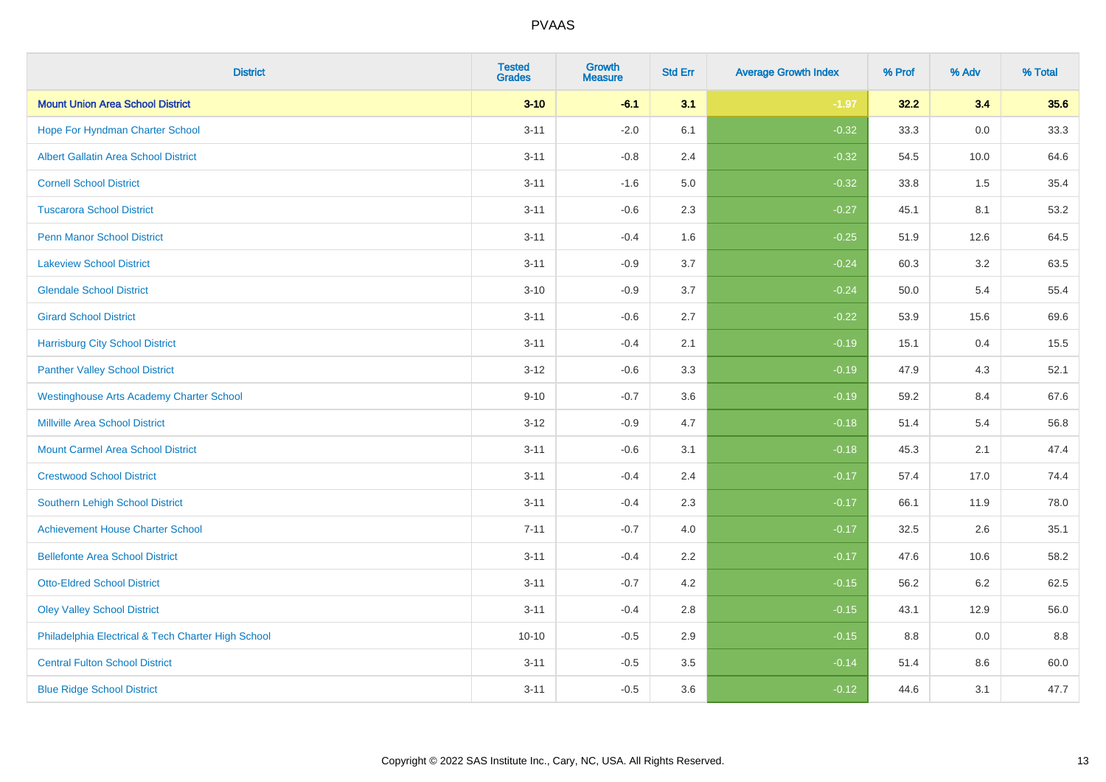| <b>District</b>                                    | <b>Tested</b><br><b>Grades</b> | <b>Growth</b><br><b>Measure</b> | <b>Std Err</b> | <b>Average Growth Index</b> | % Prof | % Adv   | % Total |
|----------------------------------------------------|--------------------------------|---------------------------------|----------------|-----------------------------|--------|---------|---------|
| <b>Mount Union Area School District</b>            | $3 - 10$                       | $-6.1$                          | 3.1            | $-1.97$                     | 32.2   | 3.4     | 35.6    |
| Hope For Hyndman Charter School                    | $3 - 11$                       | $-2.0$                          | 6.1            | $-0.32$                     | 33.3   | 0.0     | 33.3    |
| <b>Albert Gallatin Area School District</b>        | $3 - 11$                       | $-0.8$                          | 2.4            | $-0.32$                     | 54.5   | 10.0    | 64.6    |
| <b>Cornell School District</b>                     | $3 - 11$                       | $-1.6$                          | 5.0            | $-0.32$                     | 33.8   | 1.5     | 35.4    |
| <b>Tuscarora School District</b>                   | $3 - 11$                       | $-0.6$                          | 2.3            | $-0.27$                     | 45.1   | 8.1     | 53.2    |
| <b>Penn Manor School District</b>                  | $3 - 11$                       | $-0.4$                          | 1.6            | $-0.25$                     | 51.9   | 12.6    | 64.5    |
| <b>Lakeview School District</b>                    | $3 - 11$                       | $-0.9$                          | 3.7            | $-0.24$                     | 60.3   | 3.2     | 63.5    |
| <b>Glendale School District</b>                    | $3 - 10$                       | $-0.9$                          | 3.7            | $-0.24$                     | 50.0   | 5.4     | 55.4    |
| <b>Girard School District</b>                      | $3 - 11$                       | $-0.6$                          | 2.7            | $-0.22$                     | 53.9   | 15.6    | 69.6    |
| <b>Harrisburg City School District</b>             | $3 - 11$                       | $-0.4$                          | 2.1            | $-0.19$                     | 15.1   | 0.4     | 15.5    |
| <b>Panther Valley School District</b>              | $3 - 12$                       | $-0.6$                          | 3.3            | $-0.19$                     | 47.9   | 4.3     | 52.1    |
| <b>Westinghouse Arts Academy Charter School</b>    | $9 - 10$                       | $-0.7$                          | 3.6            | $-0.19$                     | 59.2   | 8.4     | 67.6    |
| <b>Millville Area School District</b>              | $3 - 12$                       | $-0.9$                          | 4.7            | $-0.18$                     | 51.4   | 5.4     | 56.8    |
| <b>Mount Carmel Area School District</b>           | $3 - 11$                       | $-0.6$                          | 3.1            | $-0.18$                     | 45.3   | 2.1     | 47.4    |
| <b>Crestwood School District</b>                   | $3 - 11$                       | $-0.4$                          | 2.4            | $-0.17$                     | 57.4   | 17.0    | 74.4    |
| <b>Southern Lehigh School District</b>             | $3 - 11$                       | $-0.4$                          | 2.3            | $-0.17$                     | 66.1   | 11.9    | 78.0    |
| <b>Achievement House Charter School</b>            | $7 - 11$                       | $-0.7$                          | 4.0            | $-0.17$                     | 32.5   | $2.6\,$ | 35.1    |
| <b>Bellefonte Area School District</b>             | $3 - 11$                       | $-0.4$                          | 2.2            | $-0.17$                     | 47.6   | 10.6    | 58.2    |
| <b>Otto-Eldred School District</b>                 | $3 - 11$                       | $-0.7$                          | 4.2            | $-0.15$                     | 56.2   | $6.2\,$ | 62.5    |
| <b>Oley Valley School District</b>                 | $3 - 11$                       | $-0.4$                          | 2.8            | $-0.15$                     | 43.1   | 12.9    | 56.0    |
| Philadelphia Electrical & Tech Charter High School | $10 - 10$                      | $-0.5$                          | 2.9            | $-0.15$                     | 8.8    | 0.0     | 8.8     |
| <b>Central Fulton School District</b>              | $3 - 11$                       | $-0.5$                          | 3.5            | $-0.14$                     | 51.4   | 8.6     | 60.0    |
| <b>Blue Ridge School District</b>                  | $3 - 11$                       | $-0.5$                          | 3.6            | $-0.12$                     | 44.6   | 3.1     | 47.7    |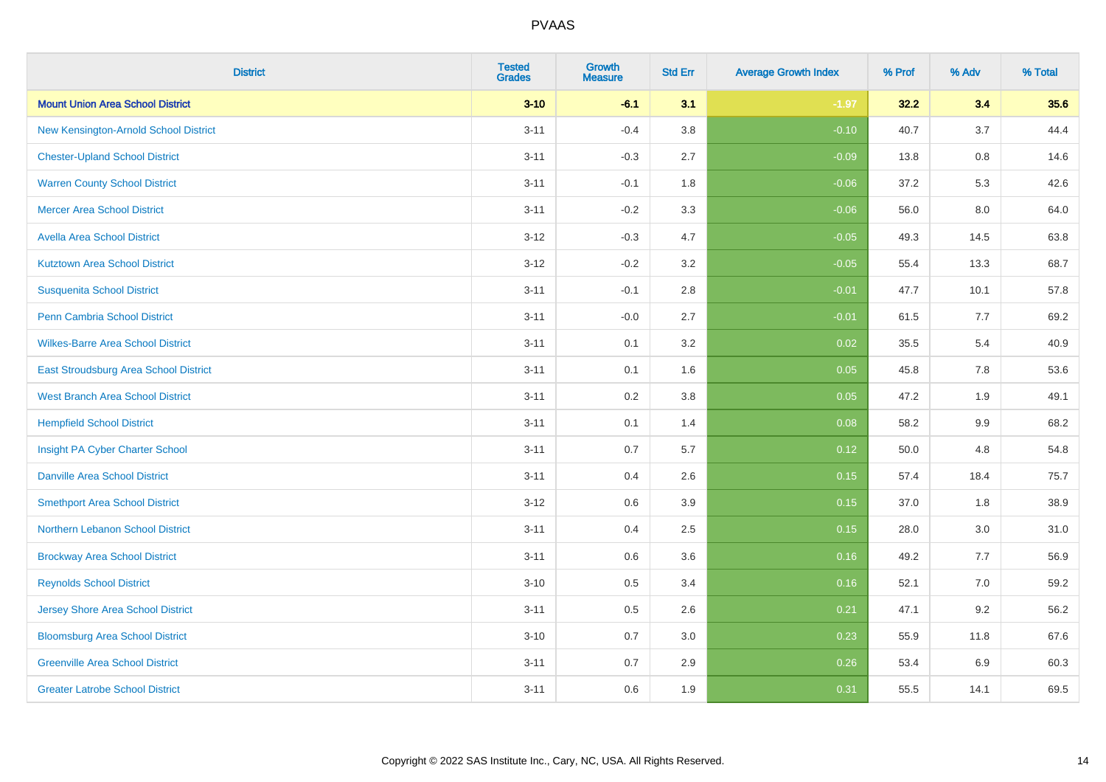| <b>District</b>                          | <b>Tested</b><br><b>Grades</b> | Growth<br><b>Measure</b> | <b>Std Err</b> | <b>Average Growth Index</b> | % Prof | % Adv   | % Total |
|------------------------------------------|--------------------------------|--------------------------|----------------|-----------------------------|--------|---------|---------|
| <b>Mount Union Area School District</b>  | $3 - 10$                       | $-6.1$                   | 3.1            | $-1.97$                     | 32.2   | 3.4     | 35.6    |
| New Kensington-Arnold School District    | $3 - 11$                       | $-0.4$                   | 3.8            | $-0.10$                     | 40.7   | 3.7     | 44.4    |
| <b>Chester-Upland School District</b>    | $3 - 11$                       | $-0.3$                   | 2.7            | $-0.09$                     | 13.8   | $0.8\,$ | 14.6    |
| <b>Warren County School District</b>     | $3 - 11$                       | $-0.1$                   | 1.8            | $-0.06$                     | 37.2   | 5.3     | 42.6    |
| <b>Mercer Area School District</b>       | $3 - 11$                       | $-0.2$                   | 3.3            | $-0.06$                     | 56.0   | 8.0     | 64.0    |
| <b>Avella Area School District</b>       | $3 - 12$                       | $-0.3$                   | 4.7            | $-0.05$                     | 49.3   | 14.5    | 63.8    |
| <b>Kutztown Area School District</b>     | $3 - 12$                       | $-0.2$                   | 3.2            | $-0.05$                     | 55.4   | 13.3    | 68.7    |
| <b>Susquenita School District</b>        | $3 - 11$                       | $-0.1$                   | 2.8            | $-0.01$                     | 47.7   | 10.1    | 57.8    |
| Penn Cambria School District             | $3 - 11$                       | $-0.0$                   | 2.7            | $-0.01$                     | 61.5   | 7.7     | 69.2    |
| <b>Wilkes-Barre Area School District</b> | $3 - 11$                       | 0.1                      | 3.2            | 0.02                        | 35.5   | 5.4     | 40.9    |
| East Stroudsburg Area School District    | $3 - 11$                       | 0.1                      | 1.6            | 0.05                        | 45.8   | 7.8     | 53.6    |
| <b>West Branch Area School District</b>  | $3 - 11$                       | 0.2                      | 3.8            | 0.05                        | 47.2   | 1.9     | 49.1    |
| <b>Hempfield School District</b>         | $3 - 11$                       | 0.1                      | 1.4            | 0.08                        | 58.2   | 9.9     | 68.2    |
| Insight PA Cyber Charter School          | $3 - 11$                       | 0.7                      | 5.7            | 0.12                        | 50.0   | 4.8     | 54.8    |
| <b>Danville Area School District</b>     | $3 - 11$                       | 0.4                      | 2.6            | 0.15                        | 57.4   | 18.4    | 75.7    |
| <b>Smethport Area School District</b>    | $3 - 12$                       | 0.6                      | 3.9            | 0.15                        | 37.0   | 1.8     | 38.9    |
| Northern Lebanon School District         | $3 - 11$                       | 0.4                      | 2.5            | 0.15                        | 28.0   | 3.0     | 31.0    |
| <b>Brockway Area School District</b>     | $3 - 11$                       | 0.6                      | 3.6            | 0.16                        | 49.2   | 7.7     | 56.9    |
| <b>Reynolds School District</b>          | $3 - 10$                       | 0.5                      | 3.4            | 0.16                        | 52.1   | 7.0     | 59.2    |
| <b>Jersey Shore Area School District</b> | $3 - 11$                       | 0.5                      | 2.6            | 0.21                        | 47.1   | 9.2     | 56.2    |
| <b>Bloomsburg Area School District</b>   | $3 - 10$                       | 0.7                      | 3.0            | 0.23                        | 55.9   | 11.8    | 67.6    |
| <b>Greenville Area School District</b>   | $3 - 11$                       | 0.7                      | 2.9            | 0.26                        | 53.4   | 6.9     | 60.3    |
| <b>Greater Latrobe School District</b>   | $3 - 11$                       | 0.6                      | 1.9            | 0.31                        | 55.5   | 14.1    | 69.5    |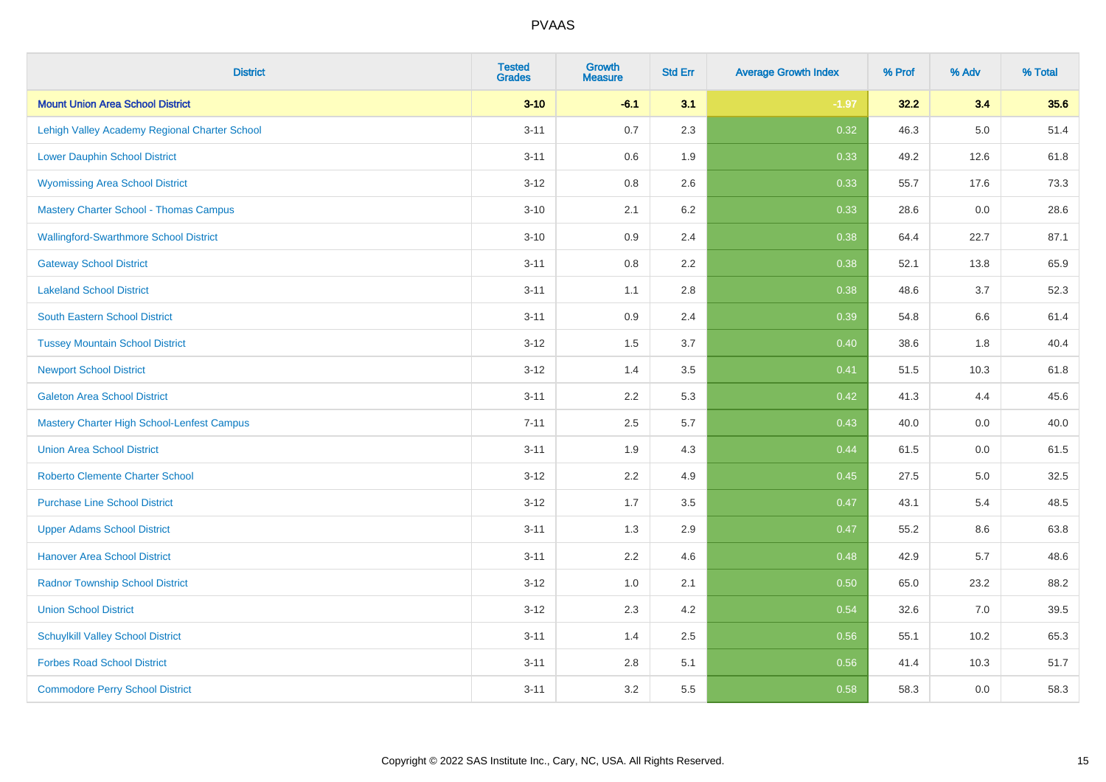| <b>District</b>                                   | <b>Tested</b><br><b>Grades</b> | <b>Growth</b><br><b>Measure</b> | <b>Std Err</b> | <b>Average Growth Index</b> | % Prof | % Adv   | % Total |
|---------------------------------------------------|--------------------------------|---------------------------------|----------------|-----------------------------|--------|---------|---------|
| <b>Mount Union Area School District</b>           | $3 - 10$                       | $-6.1$                          | 3.1            | $-1.97$                     | 32.2   | 3.4     | 35.6    |
| Lehigh Valley Academy Regional Charter School     | $3 - 11$                       | 0.7                             | 2.3            | 0.32                        | 46.3   | $5.0\,$ | 51.4    |
| <b>Lower Dauphin School District</b>              | $3 - 11$                       | 0.6                             | 1.9            | 0.33                        | 49.2   | 12.6    | 61.8    |
| <b>Wyomissing Area School District</b>            | $3 - 12$                       | $0.8\,$                         | 2.6            | 0.33                        | 55.7   | 17.6    | 73.3    |
| <b>Mastery Charter School - Thomas Campus</b>     | $3 - 10$                       | 2.1                             | 6.2            | 0.33                        | 28.6   | 0.0     | 28.6    |
| <b>Wallingford-Swarthmore School District</b>     | $3 - 10$                       | 0.9                             | 2.4            | 0.38                        | 64.4   | 22.7    | 87.1    |
| <b>Gateway School District</b>                    | $3 - 11$                       | 0.8                             | 2.2            | 0.38                        | 52.1   | 13.8    | 65.9    |
| <b>Lakeland School District</b>                   | $3 - 11$                       | 1.1                             | 2.8            | 0.38                        | 48.6   | 3.7     | 52.3    |
| <b>South Eastern School District</b>              | $3 - 11$                       | 0.9                             | 2.4            | 0.39                        | 54.8   | 6.6     | 61.4    |
| <b>Tussey Mountain School District</b>            | $3 - 12$                       | 1.5                             | 3.7            | 0.40                        | 38.6   | 1.8     | 40.4    |
| <b>Newport School District</b>                    | $3 - 12$                       | 1.4                             | 3.5            | 0.41                        | 51.5   | 10.3    | 61.8    |
| <b>Galeton Area School District</b>               | $3 - 11$                       | 2.2                             | 5.3            | 0.42                        | 41.3   | 4.4     | 45.6    |
| <b>Mastery Charter High School-Lenfest Campus</b> | $7 - 11$                       | 2.5                             | 5.7            | 0.43                        | 40.0   | $0.0\,$ | 40.0    |
| <b>Union Area School District</b>                 | $3 - 11$                       | 1.9                             | 4.3            | 0.44                        | 61.5   | 0.0     | 61.5    |
| <b>Roberto Clemente Charter School</b>            | $3 - 12$                       | 2.2                             | 4.9            | 0.45                        | 27.5   | $5.0\,$ | 32.5    |
| <b>Purchase Line School District</b>              | $3 - 12$                       | 1.7                             | 3.5            | 0.47                        | 43.1   | 5.4     | 48.5    |
| <b>Upper Adams School District</b>                | $3 - 11$                       | 1.3                             | 2.9            | 0.47                        | 55.2   | $8.6\,$ | 63.8    |
| <b>Hanover Area School District</b>               | $3 - 11$                       | 2.2                             | 4.6            | 0.48                        | 42.9   | 5.7     | 48.6    |
| <b>Radnor Township School District</b>            | $3 - 12$                       | 1.0                             | 2.1            | 0.50                        | 65.0   | 23.2    | 88.2    |
| <b>Union School District</b>                      | $3 - 12$                       | 2.3                             | 4.2            | 0.54                        | 32.6   | 7.0     | 39.5    |
| <b>Schuylkill Valley School District</b>          | $3 - 11$                       | 1.4                             | 2.5            | 0.56                        | 55.1   | 10.2    | 65.3    |
| <b>Forbes Road School District</b>                | $3 - 11$                       | 2.8                             | 5.1            | 0.56                        | 41.4   | 10.3    | 51.7    |
| <b>Commodore Perry School District</b>            | $3 - 11$                       | 3.2                             | 5.5            | 0.58                        | 58.3   | 0.0     | 58.3    |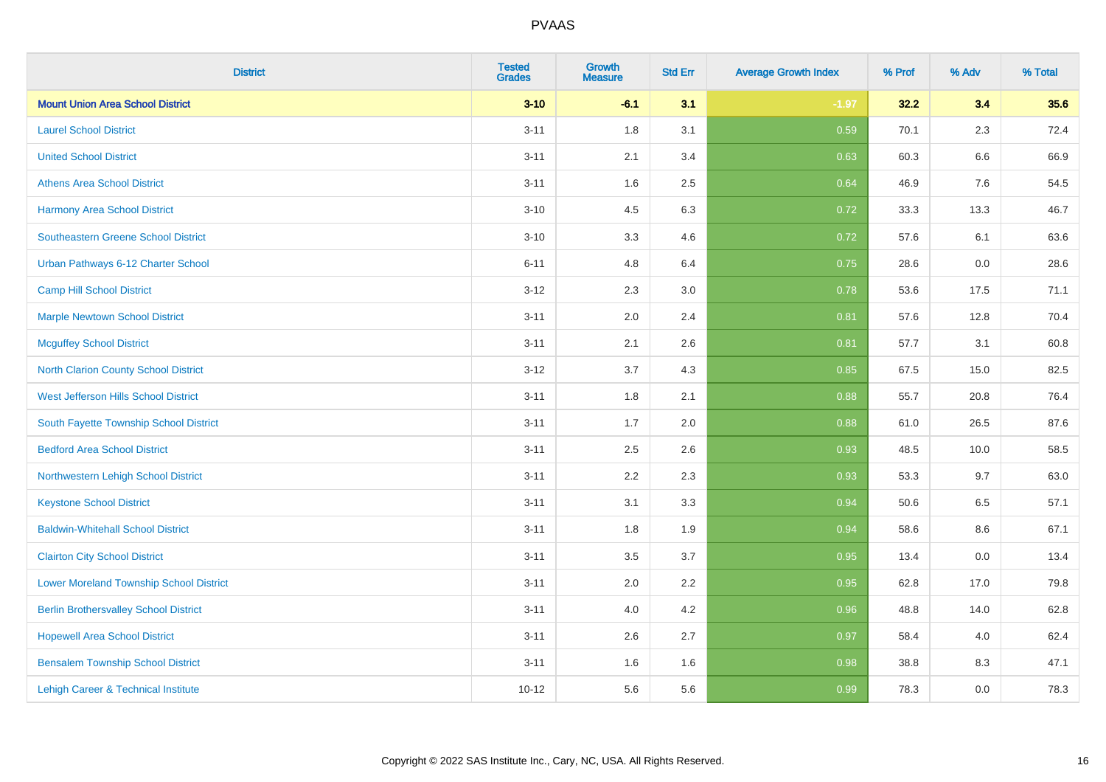| <b>District</b>                                | <b>Tested</b><br><b>Grades</b> | <b>Growth</b><br><b>Measure</b> | <b>Std Err</b> | <b>Average Growth Index</b> | % Prof | % Adv   | % Total |
|------------------------------------------------|--------------------------------|---------------------------------|----------------|-----------------------------|--------|---------|---------|
| <b>Mount Union Area School District</b>        | $3 - 10$                       | $-6.1$                          | 3.1            | $-1.97$                     | 32.2   | 3.4     | 35.6    |
| <b>Laurel School District</b>                  | $3 - 11$                       | 1.8                             | 3.1            | 0.59                        | 70.1   | 2.3     | 72.4    |
| <b>United School District</b>                  | $3 - 11$                       | 2.1                             | 3.4            | 0.63                        | 60.3   | $6.6\,$ | 66.9    |
| <b>Athens Area School District</b>             | $3 - 11$                       | 1.6                             | 2.5            | 0.64                        | 46.9   | 7.6     | 54.5    |
| <b>Harmony Area School District</b>            | $3 - 10$                       | 4.5                             | 6.3            | 0.72                        | 33.3   | 13.3    | 46.7    |
| <b>Southeastern Greene School District</b>     | $3 - 10$                       | 3.3                             | 4.6            | 0.72                        | 57.6   | 6.1     | 63.6    |
| Urban Pathways 6-12 Charter School             | $6 - 11$                       | 4.8                             | 6.4            | 0.75                        | 28.6   | 0.0     | 28.6    |
| <b>Camp Hill School District</b>               | $3 - 12$                       | 2.3                             | 3.0            | 0.78                        | 53.6   | 17.5    | 71.1    |
| <b>Marple Newtown School District</b>          | $3 - 11$                       | 2.0                             | 2.4            | 0.81                        | 57.6   | 12.8    | 70.4    |
| <b>Mcguffey School District</b>                | $3 - 11$                       | 2.1                             | 2.6            | 0.81                        | 57.7   | 3.1     | 60.8    |
| North Clarion County School District           | $3 - 12$                       | 3.7                             | 4.3            | 0.85                        | 67.5   | 15.0    | 82.5    |
| West Jefferson Hills School District           | $3 - 11$                       | 1.8                             | 2.1            | 0.88                        | 55.7   | 20.8    | 76.4    |
| South Fayette Township School District         | $3 - 11$                       | 1.7                             | 2.0            | 0.88                        | 61.0   | 26.5    | 87.6    |
| <b>Bedford Area School District</b>            | $3 - 11$                       | 2.5                             | 2.6            | 0.93                        | 48.5   | 10.0    | 58.5    |
| Northwestern Lehigh School District            | $3 - 11$                       | 2.2                             | 2.3            | 0.93                        | 53.3   | 9.7     | 63.0    |
| <b>Keystone School District</b>                | $3 - 11$                       | 3.1                             | 3.3            | 0.94                        | 50.6   | 6.5     | 57.1    |
| <b>Baldwin-Whitehall School District</b>       | $3 - 11$                       | 1.8                             | 1.9            | 0.94                        | 58.6   | 8.6     | 67.1    |
| <b>Clairton City School District</b>           | $3 - 11$                       | 3.5                             | 3.7            | 0.95                        | 13.4   | 0.0     | 13.4    |
| <b>Lower Moreland Township School District</b> | $3 - 11$                       | 2.0                             | 2.2            | 0.95                        | 62.8   | 17.0    | 79.8    |
| <b>Berlin Brothersvalley School District</b>   | $3 - 11$                       | 4.0                             | 4.2            | 0.96                        | 48.8   | 14.0    | 62.8    |
| <b>Hopewell Area School District</b>           | $3 - 11$                       | 2.6                             | 2.7            | 0.97                        | 58.4   | 4.0     | 62.4    |
| <b>Bensalem Township School District</b>       | $3 - 11$                       | 1.6                             | 1.6            | 0.98                        | 38.8   | 8.3     | 47.1    |
| Lehigh Career & Technical Institute            | $10 - 12$                      | 5.6                             | 5.6            | 0.99                        | 78.3   | 0.0     | 78.3    |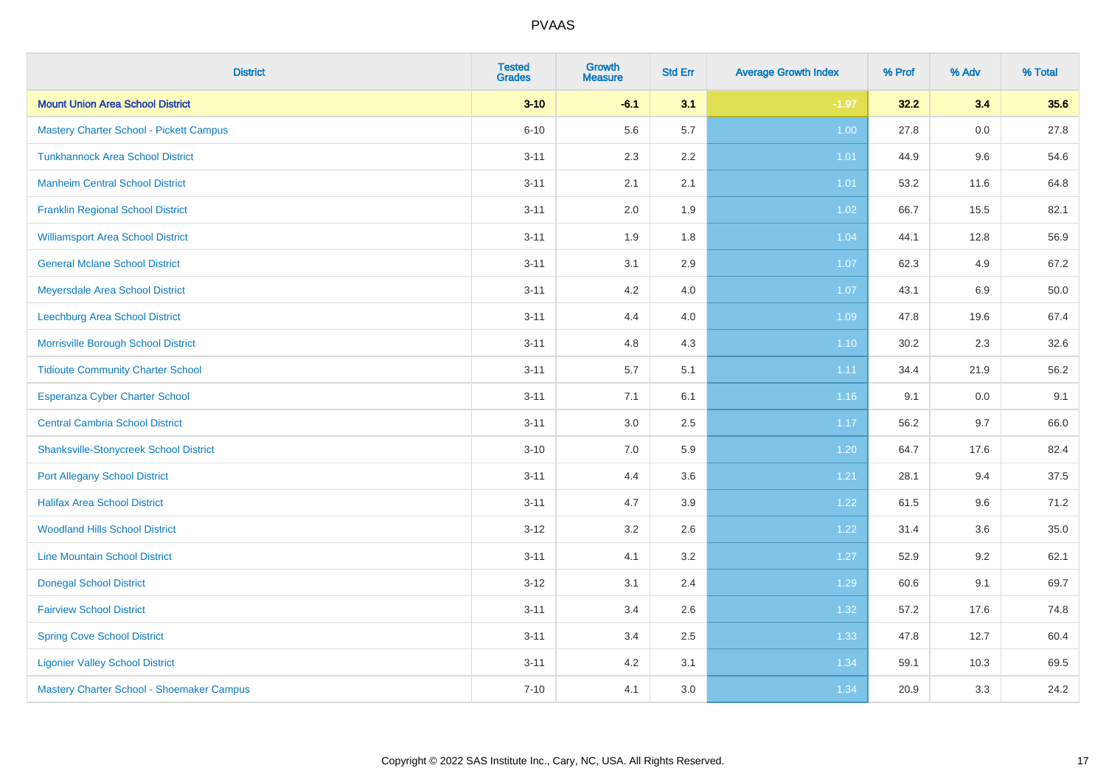| <b>District</b>                                | <b>Tested</b><br><b>Grades</b> | <b>Growth</b><br><b>Measure</b> | <b>Std Err</b> | <b>Average Growth Index</b> | % Prof | % Adv | % Total |
|------------------------------------------------|--------------------------------|---------------------------------|----------------|-----------------------------|--------|-------|---------|
| <b>Mount Union Area School District</b>        | $3 - 10$                       | $-6.1$                          | 3.1            | $-1.97$                     | 32.2   | 3.4   | 35.6    |
| <b>Mastery Charter School - Pickett Campus</b> | $6 - 10$                       | 5.6                             | 5.7            | 1.00                        | 27.8   | 0.0   | 27.8    |
| <b>Tunkhannock Area School District</b>        | $3 - 11$                       | 2.3                             | 2.2            | 1.01                        | 44.9   | 9.6   | 54.6    |
| <b>Manheim Central School District</b>         | $3 - 11$                       | 2.1                             | 2.1            | 1.01                        | 53.2   | 11.6  | 64.8    |
| <b>Franklin Regional School District</b>       | $3 - 11$                       | 2.0                             | 1.9            | 1.02                        | 66.7   | 15.5  | 82.1    |
| <b>Williamsport Area School District</b>       | $3 - 11$                       | 1.9                             | 1.8            | 1.04                        | 44.1   | 12.8  | 56.9    |
| <b>General Mclane School District</b>          | $3 - 11$                       | 3.1                             | 2.9            | 1.07                        | 62.3   | 4.9   | 67.2    |
| Meyersdale Area School District                | $3 - 11$                       | 4.2                             | 4.0            | 1.07                        | 43.1   | 6.9   | 50.0    |
| Leechburg Area School District                 | $3 - 11$                       | 4.4                             | 4.0            | 1.09                        | 47.8   | 19.6  | 67.4    |
| Morrisville Borough School District            | $3 - 11$                       | 4.8                             | 4.3            | 1.10                        | 30.2   | 2.3   | 32.6    |
| <b>Tidioute Community Charter School</b>       | $3 - 11$                       | 5.7                             | 5.1            | 1.11                        | 34.4   | 21.9  | 56.2    |
| Esperanza Cyber Charter School                 | $3 - 11$                       | 7.1                             | 6.1            | 1.16                        | 9.1    | 0.0   | 9.1     |
| <b>Central Cambria School District</b>         | $3 - 11$                       | 3.0                             | 2.5            | 1.17                        | 56.2   | 9.7   | 66.0    |
| <b>Shanksville-Stonycreek School District</b>  | $3 - 10$                       | 7.0                             | 5.9            | 1.20                        | 64.7   | 17.6  | 82.4    |
| <b>Port Allegany School District</b>           | $3 - 11$                       | 4.4                             | 3.6            | 1.21                        | 28.1   | 9.4   | 37.5    |
| <b>Halifax Area School District</b>            | $3 - 11$                       | 4.7                             | 3.9            | 1.22                        | 61.5   | 9.6   | 71.2    |
| <b>Woodland Hills School District</b>          | $3 - 12$                       | 3.2                             | 2.6            | 1.22                        | 31.4   | 3.6   | 35.0    |
| <b>Line Mountain School District</b>           | $3 - 11$                       | 4.1                             | 3.2            | 1.27                        | 52.9   | 9.2   | 62.1    |
| <b>Donegal School District</b>                 | $3 - 12$                       | 3.1                             | 2.4            | 1.29                        | 60.6   | 9.1   | 69.7    |
| <b>Fairview School District</b>                | $3 - 11$                       | 3.4                             | 2.6            | 1.32                        | 57.2   | 17.6  | 74.8    |
| <b>Spring Cove School District</b>             | $3 - 11$                       | 3.4                             | 2.5            | 1.33                        | 47.8   | 12.7  | 60.4    |
| <b>Ligonier Valley School District</b>         | $3 - 11$                       | 4.2                             | 3.1            | 1.34                        | 59.1   | 10.3  | 69.5    |
| Mastery Charter School - Shoemaker Campus      | $7 - 10$                       | 4.1                             | 3.0            | 1.34                        | 20.9   | 3.3   | 24.2    |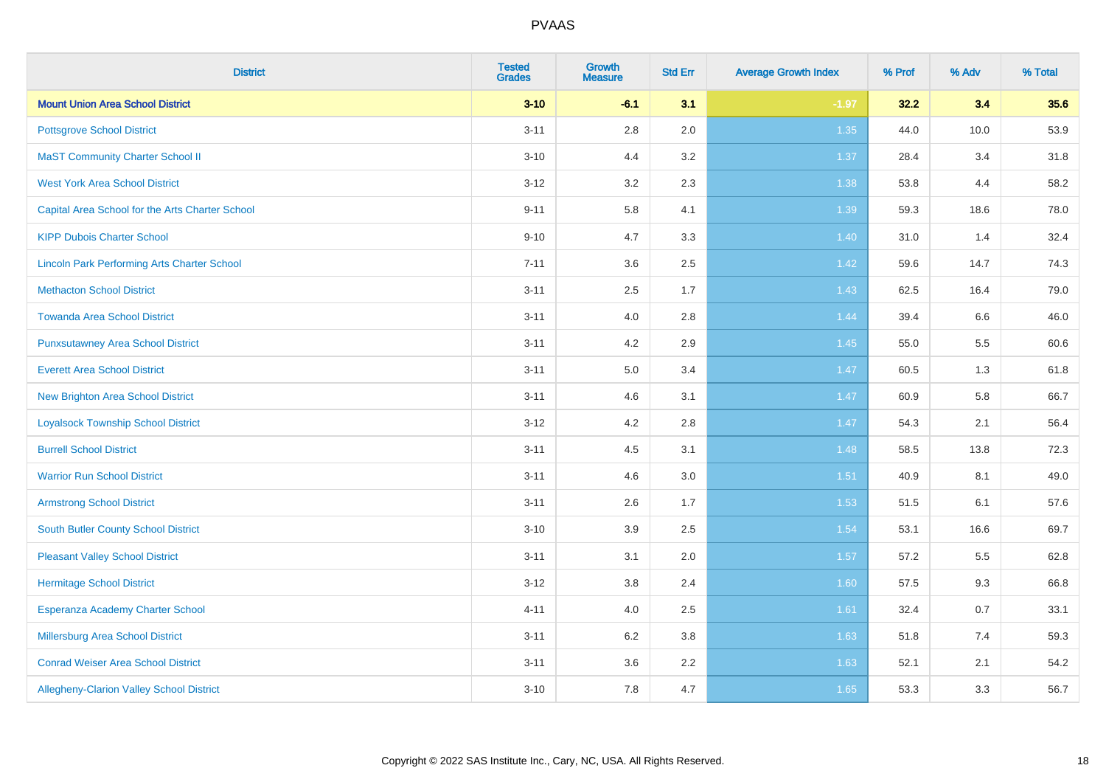| <b>District</b>                                    | <b>Tested</b><br><b>Grades</b> | <b>Growth</b><br><b>Measure</b> | <b>Std Err</b> | <b>Average Growth Index</b> | % Prof | % Adv | % Total |
|----------------------------------------------------|--------------------------------|---------------------------------|----------------|-----------------------------|--------|-------|---------|
| <b>Mount Union Area School District</b>            | $3 - 10$                       | $-6.1$                          | 3.1            | $-1.97$                     | 32.2   | 3.4   | 35.6    |
| <b>Pottsgrove School District</b>                  | $3 - 11$                       | $2.8\,$                         | 2.0            | 1.35                        | 44.0   | 10.0  | 53.9    |
| <b>MaST Community Charter School II</b>            | $3 - 10$                       | 4.4                             | 3.2            | 1.37                        | 28.4   | 3.4   | 31.8    |
| <b>West York Area School District</b>              | $3 - 12$                       | 3.2                             | 2.3            | 1.38                        | 53.8   | 4.4   | 58.2    |
| Capital Area School for the Arts Charter School    | $9 - 11$                       | 5.8                             | 4.1            | 1.39                        | 59.3   | 18.6  | 78.0    |
| <b>KIPP Dubois Charter School</b>                  | $9 - 10$                       | 4.7                             | 3.3            | 1.40                        | 31.0   | 1.4   | 32.4    |
| <b>Lincoln Park Performing Arts Charter School</b> | $7 - 11$                       | 3.6                             | 2.5            | 1.42                        | 59.6   | 14.7  | 74.3    |
| <b>Methacton School District</b>                   | $3 - 11$                       | 2.5                             | 1.7            | 1.43                        | 62.5   | 16.4  | 79.0    |
| <b>Towanda Area School District</b>                | $3 - 11$                       | 4.0                             | 2.8            | 1.44                        | 39.4   | 6.6   | 46.0    |
| <b>Punxsutawney Area School District</b>           | $3 - 11$                       | 4.2                             | 2.9            | $1.45$                      | 55.0   | 5.5   | 60.6    |
| <b>Everett Area School District</b>                | $3 - 11$                       | 5.0                             | 3.4            | 1.47                        | 60.5   | 1.3   | 61.8    |
| <b>New Brighton Area School District</b>           | $3 - 11$                       | 4.6                             | 3.1            | $1.47$                      | 60.9   | 5.8   | 66.7    |
| <b>Loyalsock Township School District</b>          | $3 - 12$                       | 4.2                             | 2.8            | 1.47                        | 54.3   | 2.1   | 56.4    |
| <b>Burrell School District</b>                     | $3 - 11$                       | 4.5                             | 3.1            | 1.48                        | 58.5   | 13.8  | 72.3    |
| <b>Warrior Run School District</b>                 | $3 - 11$                       | 4.6                             | 3.0            | 1.51                        | 40.9   | 8.1   | 49.0    |
| <b>Armstrong School District</b>                   | $3 - 11$                       | 2.6                             | 1.7            | 1.53                        | 51.5   | 6.1   | 57.6    |
| <b>South Butler County School District</b>         | $3 - 10$                       | 3.9                             | 2.5            | 1.54                        | 53.1   | 16.6  | 69.7    |
| <b>Pleasant Valley School District</b>             | $3 - 11$                       | 3.1                             | 2.0            | 1.57                        | 57.2   | 5.5   | 62.8    |
| <b>Hermitage School District</b>                   | $3 - 12$                       | $3.8\,$                         | 2.4            | 1.60                        | 57.5   | 9.3   | 66.8    |
| Esperanza Academy Charter School                   | $4 - 11$                       | 4.0                             | 2.5            | 1.61                        | 32.4   | 0.7   | 33.1    |
| <b>Millersburg Area School District</b>            | $3 - 11$                       | 6.2                             | 3.8            | 1.63                        | 51.8   | 7.4   | 59.3    |
| <b>Conrad Weiser Area School District</b>          | $3 - 11$                       | 3.6                             | 2.2            | 1.63                        | 52.1   | 2.1   | 54.2    |
| Allegheny-Clarion Valley School District           | $3 - 10$                       | 7.8                             | 4.7            | 1.65                        | 53.3   | 3.3   | 56.7    |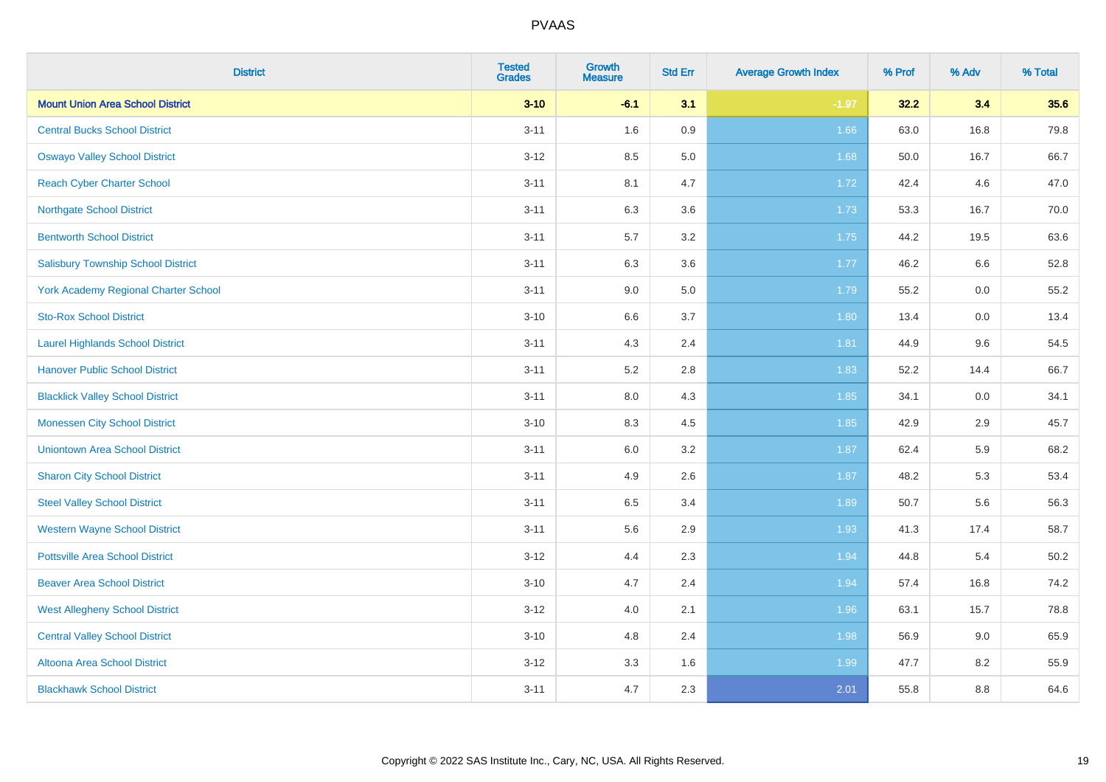| <b>District</b>                             | <b>Tested</b><br><b>Grades</b> | <b>Growth</b><br><b>Measure</b> | <b>Std Err</b> | <b>Average Growth Index</b> | % Prof | % Adv | % Total |
|---------------------------------------------|--------------------------------|---------------------------------|----------------|-----------------------------|--------|-------|---------|
| <b>Mount Union Area School District</b>     | $3 - 10$                       | $-6.1$                          | 3.1            | $-1.97$                     | 32.2   | 3.4   | 35.6    |
| <b>Central Bucks School District</b>        | $3 - 11$                       | 1.6                             | $0.9\,$        | 1.66                        | 63.0   | 16.8  | 79.8    |
| <b>Oswayo Valley School District</b>        | $3 - 12$                       | 8.5                             | 5.0            | 1.68                        | 50.0   | 16.7  | 66.7    |
| <b>Reach Cyber Charter School</b>           | $3 - 11$                       | 8.1                             | 4.7            | 1.72                        | 42.4   | 4.6   | 47.0    |
| <b>Northgate School District</b>            | $3 - 11$                       | 6.3                             | 3.6            | 1.73                        | 53.3   | 16.7  | 70.0    |
| <b>Bentworth School District</b>            | $3 - 11$                       | 5.7                             | 3.2            | 1.75                        | 44.2   | 19.5  | 63.6    |
| <b>Salisbury Township School District</b>   | $3 - 11$                       | 6.3                             | 3.6            | 1.77                        | 46.2   | 6.6   | 52.8    |
| <b>York Academy Regional Charter School</b> | $3 - 11$                       | 9.0                             | 5.0            | 1.79                        | 55.2   | 0.0   | 55.2    |
| <b>Sto-Rox School District</b>              | $3 - 10$                       | 6.6                             | 3.7            | 1.80                        | 13.4   | 0.0   | 13.4    |
| <b>Laurel Highlands School District</b>     | $3 - 11$                       | 4.3                             | 2.4            | 1.81                        | 44.9   | 9.6   | 54.5    |
| <b>Hanover Public School District</b>       | $3 - 11$                       | 5.2                             | 2.8            | 1.83                        | 52.2   | 14.4  | 66.7    |
| <b>Blacklick Valley School District</b>     | $3 - 11$                       | 8.0                             | 4.3            | 1.85                        | 34.1   | 0.0   | 34.1    |
| <b>Monessen City School District</b>        | $3 - 10$                       | 8.3                             | 4.5            | 1.85                        | 42.9   | 2.9   | 45.7    |
| <b>Uniontown Area School District</b>       | $3 - 11$                       | 6.0                             | 3.2            | 1.87                        | 62.4   | 5.9   | 68.2    |
| <b>Sharon City School District</b>          | $3 - 11$                       | 4.9                             | 2.6            | 1.87                        | 48.2   | 5.3   | 53.4    |
| <b>Steel Valley School District</b>         | $3 - 11$                       | 6.5                             | 3.4            | 1.89                        | 50.7   | 5.6   | 56.3    |
| <b>Western Wayne School District</b>        | $3 - 11$                       | 5.6                             | 2.9            | 1.93                        | 41.3   | 17.4  | 58.7    |
| <b>Pottsville Area School District</b>      | $3-12$                         | 4.4                             | 2.3            | 1.94                        | 44.8   | 5.4   | 50.2    |
| <b>Beaver Area School District</b>          | $3 - 10$                       | 4.7                             | 2.4            | 1.94                        | 57.4   | 16.8  | 74.2    |
| <b>West Allegheny School District</b>       | $3-12$                         | 4.0                             | 2.1            | 1.96                        | 63.1   | 15.7  | 78.8    |
| <b>Central Valley School District</b>       | $3 - 10$                       | 4.8                             | 2.4            | 1.98                        | 56.9   | 9.0   | 65.9    |
| Altoona Area School District                | $3 - 12$                       | 3.3                             | 1.6            | 1.99                        | 47.7   | 8.2   | 55.9    |
| <b>Blackhawk School District</b>            | $3 - 11$                       | 4.7                             | 2.3            | 2.01                        | 55.8   | 8.8   | 64.6    |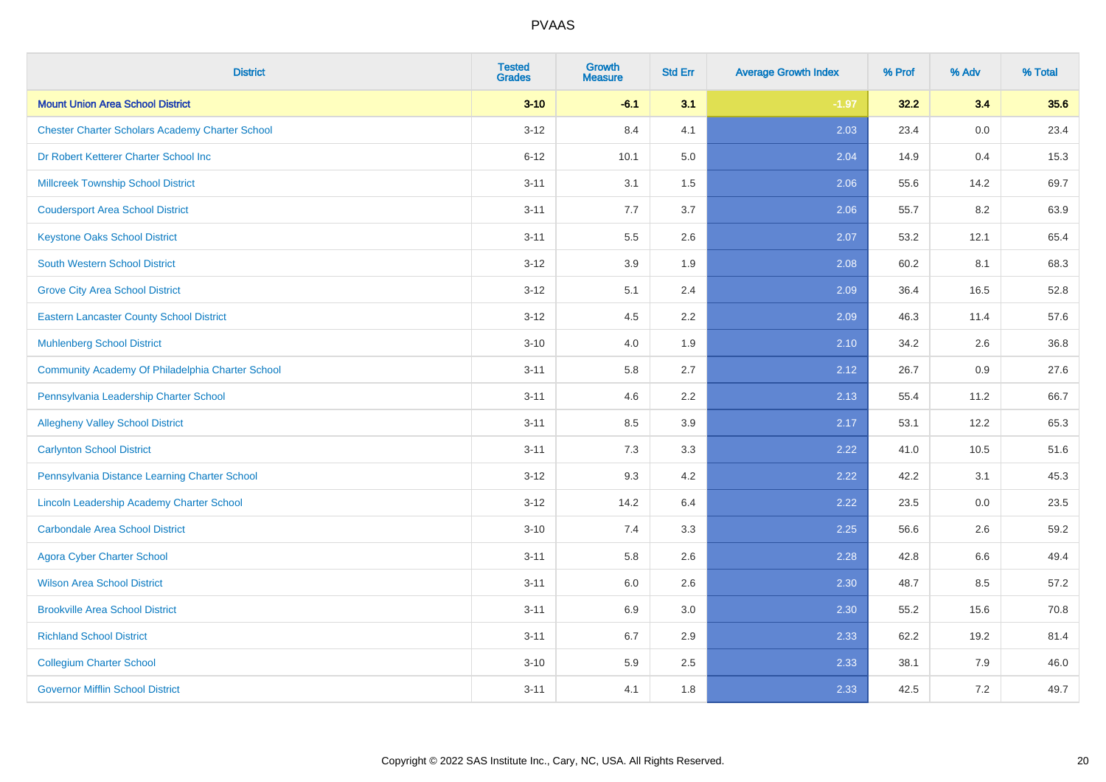| <b>District</b>                                        | <b>Tested</b><br><b>Grades</b> | <b>Growth</b><br><b>Measure</b> | <b>Std Err</b> | <b>Average Growth Index</b> | % Prof | % Adv | % Total |
|--------------------------------------------------------|--------------------------------|---------------------------------|----------------|-----------------------------|--------|-------|---------|
| <b>Mount Union Area School District</b>                | $3 - 10$                       | $-6.1$                          | 3.1            | $-1.97$                     | 32.2   | 3.4   | 35.6    |
| <b>Chester Charter Scholars Academy Charter School</b> | $3 - 12$                       | 8.4                             | 4.1            | 2.03                        | 23.4   | 0.0   | 23.4    |
| Dr Robert Ketterer Charter School Inc                  | $6 - 12$                       | 10.1                            | 5.0            | 2.04                        | 14.9   | 0.4   | 15.3    |
| <b>Millcreek Township School District</b>              | $3 - 11$                       | 3.1                             | 1.5            | 2.06                        | 55.6   | 14.2  | 69.7    |
| <b>Coudersport Area School District</b>                | $3 - 11$                       | 7.7                             | 3.7            | 2.06                        | 55.7   | 8.2   | 63.9    |
| <b>Keystone Oaks School District</b>                   | $3 - 11$                       | 5.5                             | 2.6            | 2.07                        | 53.2   | 12.1  | 65.4    |
| <b>South Western School District</b>                   | $3 - 12$                       | 3.9                             | 1.9            | 2.08                        | 60.2   | 8.1   | 68.3    |
| <b>Grove City Area School District</b>                 | $3 - 12$                       | 5.1                             | 2.4            | 2.09                        | 36.4   | 16.5  | 52.8    |
| <b>Eastern Lancaster County School District</b>        | $3 - 12$                       | 4.5                             | 2.2            | 2.09                        | 46.3   | 11.4  | 57.6    |
| <b>Muhlenberg School District</b>                      | $3 - 10$                       | 4.0                             | 1.9            | 2.10                        | 34.2   | 2.6   | 36.8    |
| Community Academy Of Philadelphia Charter School       | $3 - 11$                       | 5.8                             | 2.7            | 2.12                        | 26.7   | 0.9   | 27.6    |
| Pennsylvania Leadership Charter School                 | $3 - 11$                       | 4.6                             | 2.2            | 2.13                        | 55.4   | 11.2  | 66.7    |
| <b>Allegheny Valley School District</b>                | $3 - 11$                       | 8.5                             | 3.9            | 2.17                        | 53.1   | 12.2  | 65.3    |
| <b>Carlynton School District</b>                       | $3 - 11$                       | 7.3                             | 3.3            | 2.22                        | 41.0   | 10.5  | 51.6    |
| Pennsylvania Distance Learning Charter School          | $3 - 12$                       | 9.3                             | 4.2            | 2.22                        | 42.2   | 3.1   | 45.3    |
| Lincoln Leadership Academy Charter School              | $3 - 12$                       | 14.2                            | 6.4            | 2.22                        | 23.5   | 0.0   | 23.5    |
| <b>Carbondale Area School District</b>                 | $3 - 10$                       | 7.4                             | 3.3            | 2.25                        | 56.6   | 2.6   | 59.2    |
| <b>Agora Cyber Charter School</b>                      | $3 - 11$                       | 5.8                             | 2.6            | 2.28                        | 42.8   | 6.6   | 49.4    |
| <b>Wilson Area School District</b>                     | $3 - 11$                       | 6.0                             | 2.6            | 2.30                        | 48.7   | 8.5   | 57.2    |
| <b>Brookville Area School District</b>                 | $3 - 11$                       | 6.9                             | 3.0            | 2.30                        | 55.2   | 15.6  | 70.8    |
| <b>Richland School District</b>                        | $3 - 11$                       | 6.7                             | 2.9            | 2.33                        | 62.2   | 19.2  | 81.4    |
| <b>Collegium Charter School</b>                        | $3 - 10$                       | 5.9                             | 2.5            | 2.33                        | 38.1   | 7.9   | 46.0    |
| <b>Governor Mifflin School District</b>                | $3 - 11$                       | 4.1                             | 1.8            | 2.33                        | 42.5   | 7.2   | 49.7    |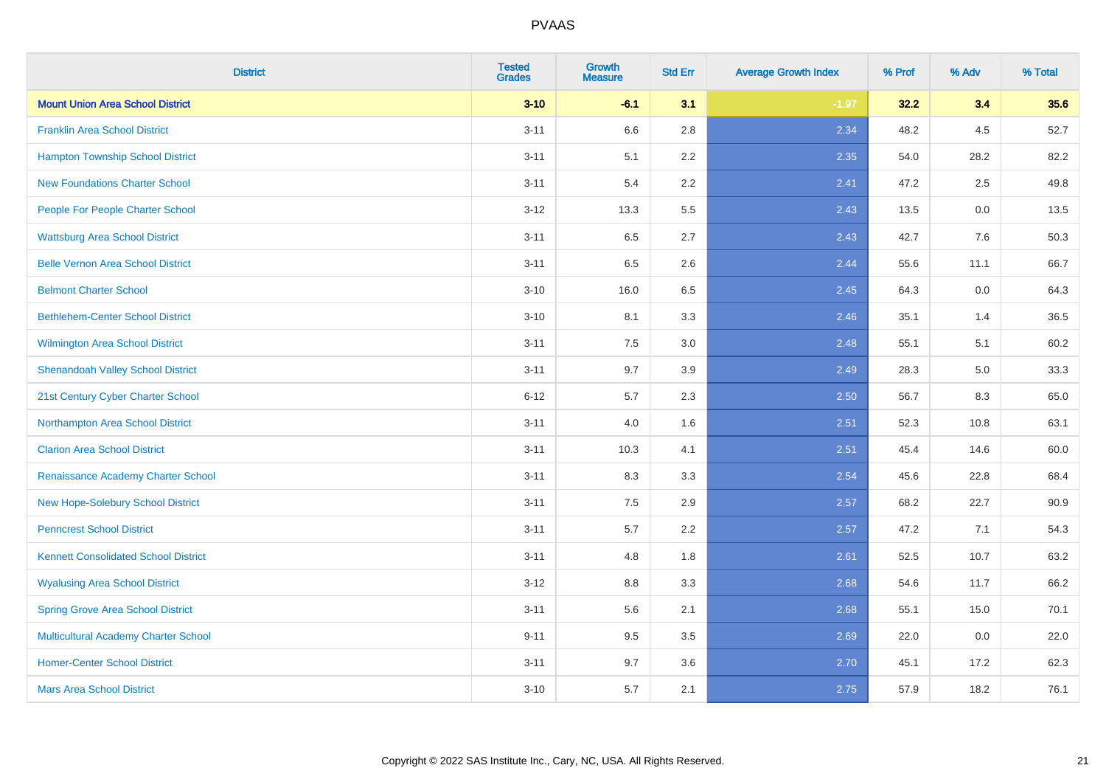| <b>District</b>                             | <b>Tested</b><br><b>Grades</b> | <b>Growth</b><br><b>Measure</b> | <b>Std Err</b> | <b>Average Growth Index</b> | % Prof | % Adv | % Total |
|---------------------------------------------|--------------------------------|---------------------------------|----------------|-----------------------------|--------|-------|---------|
| <b>Mount Union Area School District</b>     | $3 - 10$                       | $-6.1$                          | 3.1            | $-1.97$                     | 32.2   | 3.4   | 35.6    |
| <b>Franklin Area School District</b>        | $3 - 11$                       | 6.6                             | 2.8            | 2.34                        | 48.2   | 4.5   | 52.7    |
| <b>Hampton Township School District</b>     | $3 - 11$                       | 5.1                             | 2.2            | 2.35                        | 54.0   | 28.2  | 82.2    |
| <b>New Foundations Charter School</b>       | $3 - 11$                       | 5.4                             | 2.2            | 2.41                        | 47.2   | 2.5   | 49.8    |
| People For People Charter School            | $3 - 12$                       | 13.3                            | 5.5            | 2.43                        | 13.5   | 0.0   | 13.5    |
| <b>Wattsburg Area School District</b>       | $3 - 11$                       | 6.5                             | 2.7            | 2.43                        | 42.7   | 7.6   | 50.3    |
| <b>Belle Vernon Area School District</b>    | $3 - 11$                       | 6.5                             | 2.6            | 2.44                        | 55.6   | 11.1  | 66.7    |
| <b>Belmont Charter School</b>               | $3 - 10$                       | 16.0                            | 6.5            | 2.45                        | 64.3   | 0.0   | 64.3    |
| <b>Bethlehem-Center School District</b>     | $3 - 10$                       | 8.1                             | 3.3            | 2.46                        | 35.1   | 1.4   | 36.5    |
| <b>Wilmington Area School District</b>      | $3 - 11$                       | 7.5                             | 3.0            | 2.48                        | 55.1   | 5.1   | 60.2    |
| <b>Shenandoah Valley School District</b>    | $3 - 11$                       | 9.7                             | 3.9            | 2.49                        | 28.3   | 5.0   | 33.3    |
| 21st Century Cyber Charter School           | $6 - 12$                       | 5.7                             | 2.3            | 2.50                        | 56.7   | 8.3   | 65.0    |
| Northampton Area School District            | $3 - 11$                       | 4.0                             | 1.6            | 2.51                        | 52.3   | 10.8  | 63.1    |
| <b>Clarion Area School District</b>         | $3 - 11$                       | 10.3                            | 4.1            | 2.51                        | 45.4   | 14.6  | 60.0    |
| Renaissance Academy Charter School          | $3 - 11$                       | 8.3                             | 3.3            | 2.54                        | 45.6   | 22.8  | 68.4    |
| New Hope-Solebury School District           | $3 - 11$                       | $7.5\,$                         | 2.9            | 2.57                        | 68.2   | 22.7  | 90.9    |
| <b>Penncrest School District</b>            | $3 - 11$                       | 5.7                             | 2.2            | 2.57                        | 47.2   | 7.1   | 54.3    |
| <b>Kennett Consolidated School District</b> | $3 - 11$                       | 4.8                             | 1.8            | 2.61                        | 52.5   | 10.7  | 63.2    |
| <b>Wyalusing Area School District</b>       | $3 - 12$                       | $8.8\,$                         | 3.3            | 2.68                        | 54.6   | 11.7  | 66.2    |
| <b>Spring Grove Area School District</b>    | $3 - 11$                       | 5.6                             | 2.1            | 2.68                        | 55.1   | 15.0  | 70.1    |
| <b>Multicultural Academy Charter School</b> | $9 - 11$                       | 9.5                             | 3.5            | 2.69                        | 22.0   | 0.0   | 22.0    |
| <b>Homer-Center School District</b>         | $3 - 11$                       | 9.7                             | 3.6            | 2.70                        | 45.1   | 17.2  | 62.3    |
| <b>Mars Area School District</b>            | $3 - 10$                       | 5.7                             | 2.1            | 2.75                        | 57.9   | 18.2  | 76.1    |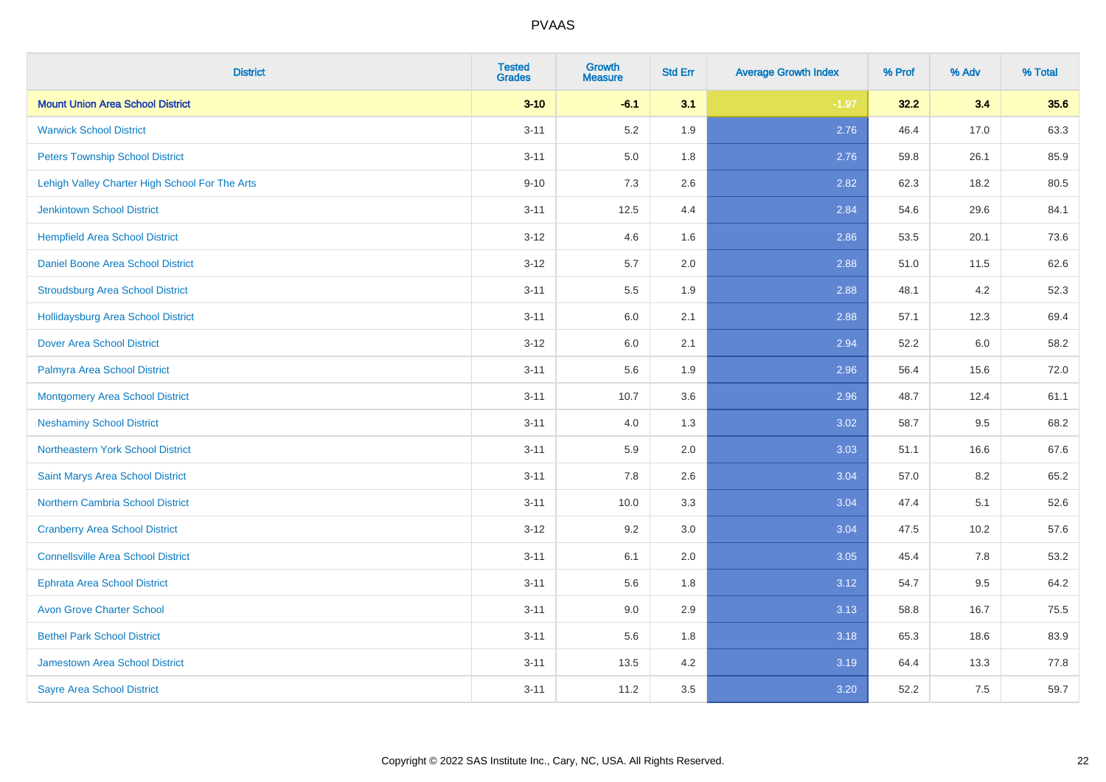| <b>District</b>                                | <b>Tested</b><br><b>Grades</b> | <b>Growth</b><br><b>Measure</b> | <b>Std Err</b> | <b>Average Growth Index</b> | % Prof | % Adv   | % Total |
|------------------------------------------------|--------------------------------|---------------------------------|----------------|-----------------------------|--------|---------|---------|
| <b>Mount Union Area School District</b>        | $3 - 10$                       | $-6.1$                          | 3.1            | $-1.97$                     | 32.2   | 3.4     | 35.6    |
| <b>Warwick School District</b>                 | $3 - 11$                       | 5.2                             | 1.9            | 2.76                        | 46.4   | 17.0    | 63.3    |
| <b>Peters Township School District</b>         | $3 - 11$                       | 5.0                             | 1.8            | 2.76                        | 59.8   | 26.1    | 85.9    |
| Lehigh Valley Charter High School For The Arts | $9 - 10$                       | $7.3$                           | 2.6            | 2.82                        | 62.3   | 18.2    | 80.5    |
| <b>Jenkintown School District</b>              | $3 - 11$                       | 12.5                            | 4.4            | 2.84                        | 54.6   | 29.6    | 84.1    |
| <b>Hempfield Area School District</b>          | $3 - 12$                       | 4.6                             | 1.6            | 2.86                        | 53.5   | 20.1    | 73.6    |
| Daniel Boone Area School District              | $3 - 12$                       | 5.7                             | 2.0            | 2.88                        | 51.0   | 11.5    | 62.6    |
| <b>Stroudsburg Area School District</b>        | $3 - 11$                       | $5.5\,$                         | 1.9            | 2.88                        | 48.1   | 4.2     | 52.3    |
| <b>Hollidaysburg Area School District</b>      | $3 - 11$                       | 6.0                             | 2.1            | 2.88                        | 57.1   | 12.3    | 69.4    |
| <b>Dover Area School District</b>              | $3 - 12$                       | 6.0                             | 2.1            | 2.94                        | 52.2   | 6.0     | 58.2    |
| Palmyra Area School District                   | $3 - 11$                       | 5.6                             | 1.9            | 2.96                        | 56.4   | 15.6    | 72.0    |
| Montgomery Area School District                | $3 - 11$                       | 10.7                            | 3.6            | 2.96                        | 48.7   | 12.4    | 61.1    |
| <b>Neshaminy School District</b>               | $3 - 11$                       | $4.0\,$                         | 1.3            | 3.02                        | 58.7   | $9.5\,$ | 68.2    |
| <b>Northeastern York School District</b>       | $3 - 11$                       | 5.9                             | 2.0            | 3.03                        | 51.1   | 16.6    | 67.6    |
| Saint Marys Area School District               | $3 - 11$                       | 7.8                             | 2.6            | 3.04                        | 57.0   | 8.2     | 65.2    |
| <b>Northern Cambria School District</b>        | $3 - 11$                       | 10.0                            | 3.3            | 3.04                        | 47.4   | 5.1     | 52.6    |
| <b>Cranberry Area School District</b>          | $3 - 12$                       | 9.2                             | 3.0            | 3.04                        | 47.5   | 10.2    | 57.6    |
| <b>Connellsville Area School District</b>      | $3 - 11$                       | 6.1                             | 2.0            | 3.05                        | 45.4   | 7.8     | 53.2    |
| <b>Ephrata Area School District</b>            | $3 - 11$                       | 5.6                             | 1.8            | 3.12                        | 54.7   | 9.5     | 64.2    |
| <b>Avon Grove Charter School</b>               | $3 - 11$                       | 9.0                             | 2.9            | 3.13                        | 58.8   | 16.7    | 75.5    |
| <b>Bethel Park School District</b>             | $3 - 11$                       | 5.6                             | 1.8            | 3.18                        | 65.3   | 18.6    | 83.9    |
| Jamestown Area School District                 | $3 - 11$                       | 13.5                            | 4.2            | 3.19                        | 64.4   | 13.3    | 77.8    |
| <b>Sayre Area School District</b>              | $3 - 11$                       | 11.2                            | 3.5            | 3.20                        | 52.2   | 7.5     | 59.7    |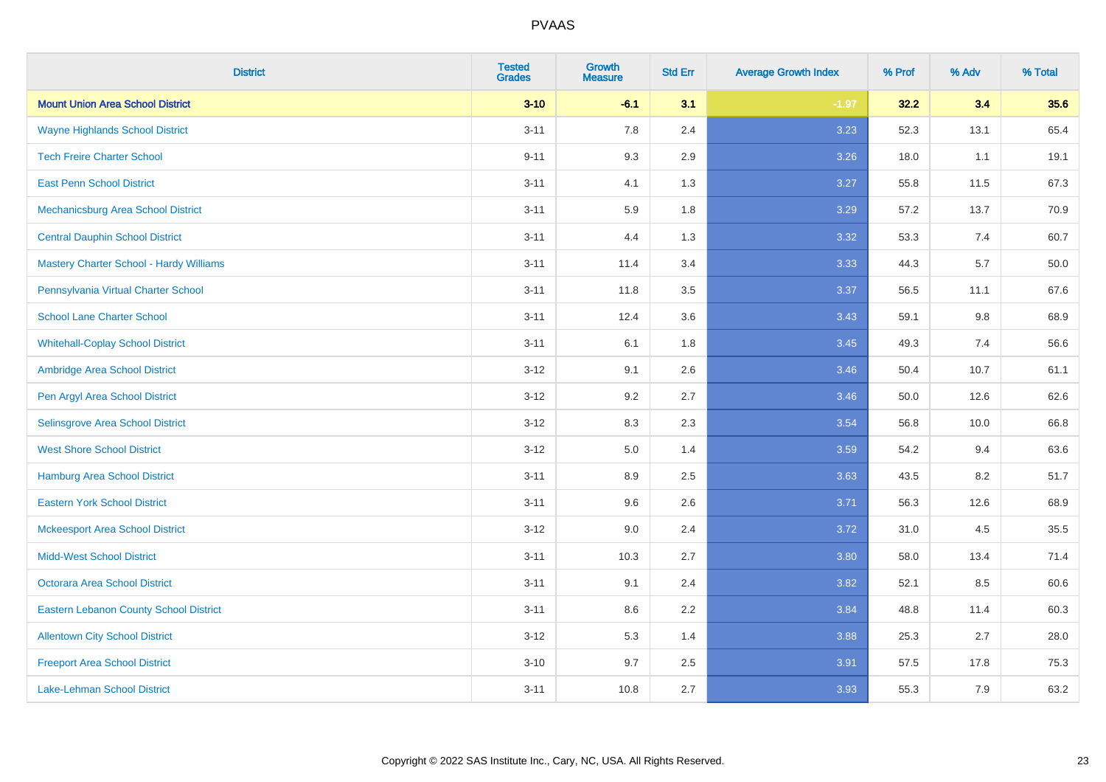| <b>District</b>                                | <b>Tested</b><br><b>Grades</b> | <b>Growth</b><br><b>Measure</b> | <b>Std Err</b> | <b>Average Growth Index</b> | % Prof | % Adv | % Total |
|------------------------------------------------|--------------------------------|---------------------------------|----------------|-----------------------------|--------|-------|---------|
| <b>Mount Union Area School District</b>        | $3 - 10$                       | $-6.1$                          | 3.1            | $-1.97$                     | 32.2   | 3.4   | 35.6    |
| <b>Wayne Highlands School District</b>         | $3 - 11$                       | 7.8                             | 2.4            | 3.23                        | 52.3   | 13.1  | 65.4    |
| <b>Tech Freire Charter School</b>              | $9 - 11$                       | 9.3                             | 2.9            | 3.26                        | 18.0   | 1.1   | 19.1    |
| <b>East Penn School District</b>               | $3 - 11$                       | 4.1                             | 1.3            | 3.27                        | 55.8   | 11.5  | 67.3    |
| Mechanicsburg Area School District             | $3 - 11$                       | 5.9                             | 1.8            | 3.29                        | 57.2   | 13.7  | 70.9    |
| <b>Central Dauphin School District</b>         | $3 - 11$                       | 4.4                             | 1.3            | 3.32                        | 53.3   | 7.4   | 60.7    |
| <b>Mastery Charter School - Hardy Williams</b> | $3 - 11$                       | 11.4                            | 3.4            | 3.33                        | 44.3   | 5.7   | 50.0    |
| Pennsylvania Virtual Charter School            | $3 - 11$                       | 11.8                            | 3.5            | 3.37                        | 56.5   | 11.1  | 67.6    |
| <b>School Lane Charter School</b>              | $3 - 11$                       | 12.4                            | 3.6            | 3.43                        | 59.1   | 9.8   | 68.9    |
| <b>Whitehall-Coplay School District</b>        | $3 - 11$                       | 6.1                             | 1.8            | 3.45                        | 49.3   | 7.4   | 56.6    |
| Ambridge Area School District                  | $3 - 12$                       | 9.1                             | 2.6            | 3.46                        | 50.4   | 10.7  | 61.1    |
| Pen Argyl Area School District                 | $3 - 12$                       | 9.2                             | 2.7            | 3.46                        | 50.0   | 12.6  | 62.6    |
| Selinsgrove Area School District               | $3 - 12$                       | 8.3                             | 2.3            | 3.54                        | 56.8   | 10.0  | 66.8    |
| <b>West Shore School District</b>              | $3 - 12$                       | $5.0\,$                         | 1.4            | 3.59                        | 54.2   | 9.4   | 63.6    |
| <b>Hamburg Area School District</b>            | $3 - 11$                       | 8.9                             | 2.5            | 3.63                        | 43.5   | 8.2   | 51.7    |
| <b>Eastern York School District</b>            | $3 - 11$                       | 9.6                             | 2.6            | 3.71                        | 56.3   | 12.6  | 68.9    |
| <b>Mckeesport Area School District</b>         | $3 - 12$                       | 9.0                             | 2.4            | 3.72                        | 31.0   | 4.5   | 35.5    |
| <b>Midd-West School District</b>               | $3 - 11$                       | 10.3                            | 2.7            | 3.80                        | 58.0   | 13.4  | 71.4    |
| <b>Octorara Area School District</b>           | $3 - 11$                       | 9.1                             | 2.4            | 3.82                        | 52.1   | 8.5   | 60.6    |
| <b>Eastern Lebanon County School District</b>  | $3 - 11$                       | 8.6                             | 2.2            | 3.84                        | 48.8   | 11.4  | 60.3    |
| <b>Allentown City School District</b>          | $3-12$                         | 5.3                             | 1.4            | 3.88                        | 25.3   | 2.7   | 28.0    |
| <b>Freeport Area School District</b>           | $3 - 10$                       | 9.7                             | 2.5            | 3.91                        | 57.5   | 17.8  | 75.3    |
| Lake-Lehman School District                    | $3 - 11$                       | 10.8                            | 2.7            | 3.93                        | 55.3   | 7.9   | 63.2    |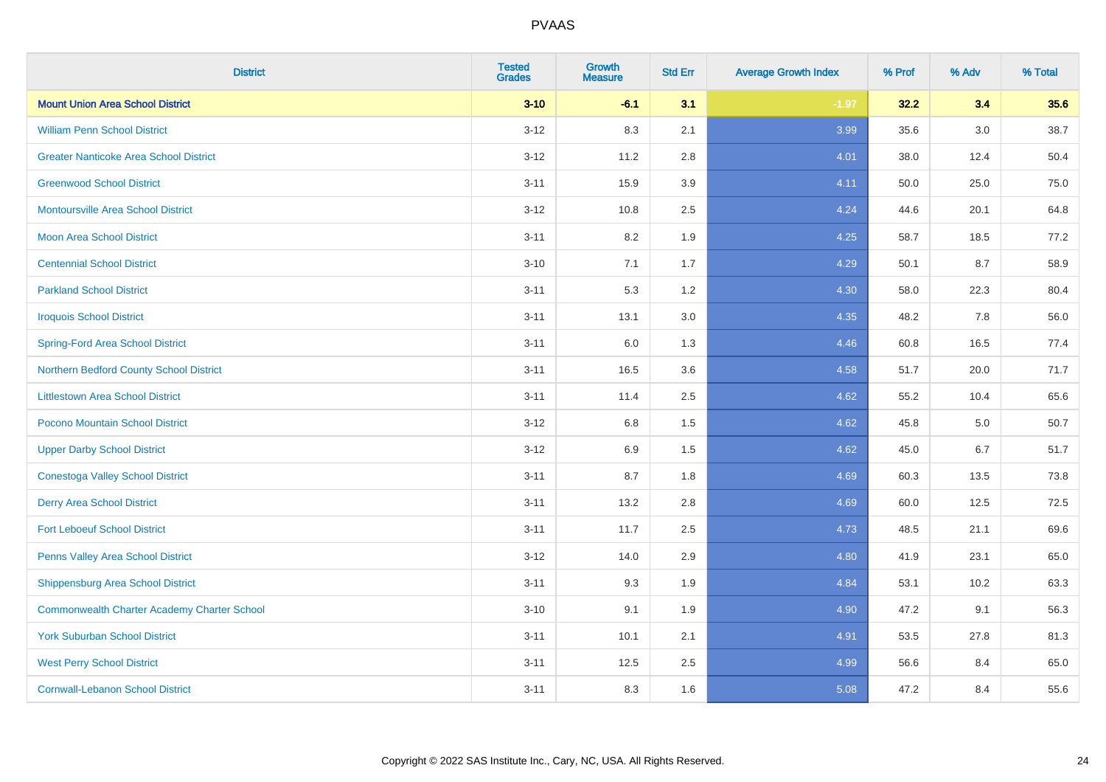| <b>District</b>                                    | <b>Tested</b><br><b>Grades</b> | <b>Growth</b><br><b>Measure</b> | <b>Std Err</b> | <b>Average Growth Index</b> | % Prof | % Adv   | % Total |
|----------------------------------------------------|--------------------------------|---------------------------------|----------------|-----------------------------|--------|---------|---------|
| <b>Mount Union Area School District</b>            | $3 - 10$                       | $-6.1$                          | 3.1            | $-1.97$                     | 32.2   | 3.4     | 35.6    |
| <b>William Penn School District</b>                | $3 - 12$                       | 8.3                             | 2.1            | 3.99                        | 35.6   | $3.0\,$ | 38.7    |
| <b>Greater Nanticoke Area School District</b>      | $3 - 12$                       | 11.2                            | 2.8            | 4.01                        | 38.0   | 12.4    | 50.4    |
| <b>Greenwood School District</b>                   | $3 - 11$                       | 15.9                            | 3.9            | 4.11                        | 50.0   | 25.0    | 75.0    |
| <b>Montoursville Area School District</b>          | $3 - 12$                       | 10.8                            | 2.5            | 4.24                        | 44.6   | 20.1    | 64.8    |
| <b>Moon Area School District</b>                   | $3 - 11$                       | 8.2                             | 1.9            | 4.25                        | 58.7   | 18.5    | 77.2    |
| <b>Centennial School District</b>                  | $3 - 10$                       | 7.1                             | 1.7            | 4.29                        | 50.1   | 8.7     | 58.9    |
| <b>Parkland School District</b>                    | $3 - 11$                       | 5.3                             | 1.2            | 4.30                        | 58.0   | 22.3    | 80.4    |
| <b>Iroquois School District</b>                    | $3 - 11$                       | 13.1                            | 3.0            | 4.35                        | 48.2   | 7.8     | 56.0    |
| <b>Spring-Ford Area School District</b>            | $3 - 11$                       | 6.0                             | 1.3            | 4.46                        | 60.8   | 16.5    | 77.4    |
| Northern Bedford County School District            | $3 - 11$                       | 16.5                            | 3.6            | 4.58                        | 51.7   | 20.0    | 71.7    |
| <b>Littlestown Area School District</b>            | $3 - 11$                       | 11.4                            | 2.5            | 4.62                        | 55.2   | 10.4    | 65.6    |
| Pocono Mountain School District                    | $3 - 12$                       | $6.8\,$                         | 1.5            | 4.62                        | 45.8   | $5.0\,$ | 50.7    |
| <b>Upper Darby School District</b>                 | $3-12$                         | 6.9                             | 1.5            | 4.62                        | 45.0   | 6.7     | 51.7    |
| <b>Conestoga Valley School District</b>            | $3 - 11$                       | 8.7                             | 1.8            | 4.69                        | 60.3   | 13.5    | 73.8    |
| <b>Derry Area School District</b>                  | $3 - 11$                       | 13.2                            | 2.8            | 4.69                        | 60.0   | 12.5    | 72.5    |
| <b>Fort Leboeuf School District</b>                | $3 - 11$                       | 11.7                            | 2.5            | 4.73                        | 48.5   | 21.1    | 69.6    |
| Penns Valley Area School District                  | $3 - 12$                       | 14.0                            | 2.9            | 4.80                        | 41.9   | 23.1    | 65.0    |
| Shippensburg Area School District                  | $3 - 11$                       | 9.3                             | 1.9            | 4.84                        | 53.1   | 10.2    | 63.3    |
| <b>Commonwealth Charter Academy Charter School</b> | $3 - 10$                       | 9.1                             | 1.9            | 4.90                        | 47.2   | 9.1     | 56.3    |
| <b>York Suburban School District</b>               | $3 - 11$                       | 10.1                            | 2.1            | 4.91                        | 53.5   | 27.8    | 81.3    |
| <b>West Perry School District</b>                  | $3 - 11$                       | 12.5                            | 2.5            | 4.99                        | 56.6   | 8.4     | 65.0    |
| <b>Cornwall-Lebanon School District</b>            | $3 - 11$                       | 8.3                             | 1.6            | 5.08                        | 47.2   | 8.4     | 55.6    |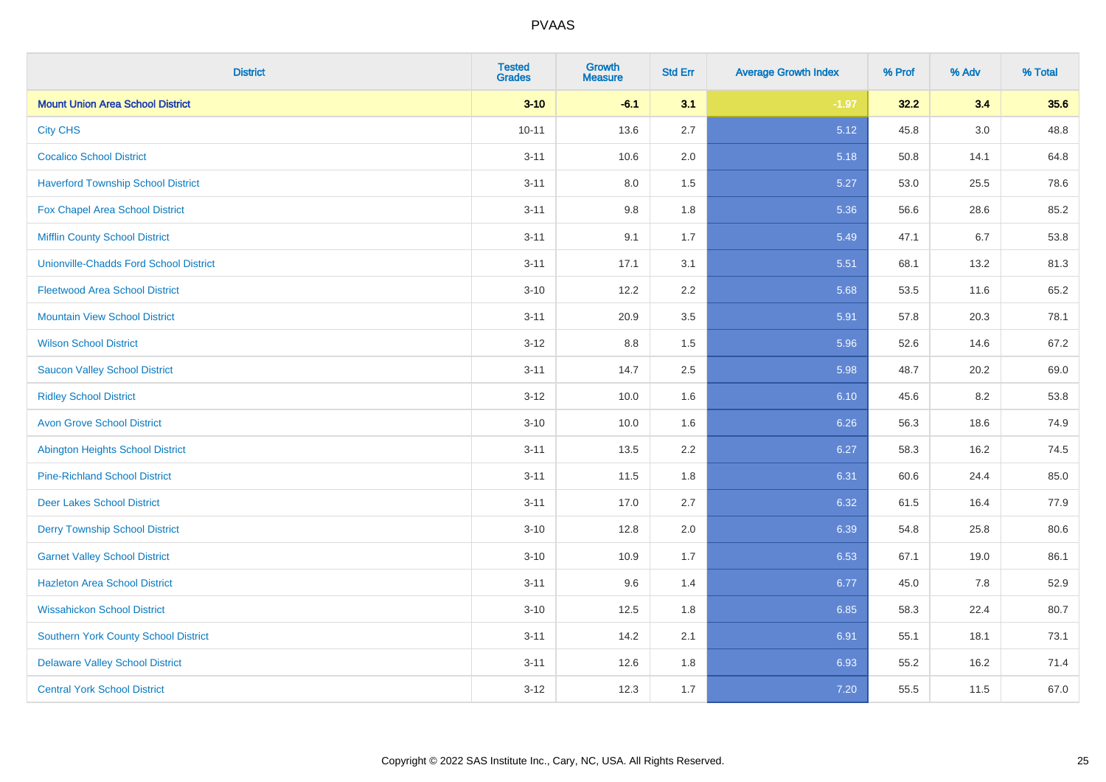| <b>District</b>                               | <b>Tested</b><br><b>Grades</b> | <b>Growth</b><br><b>Measure</b> | <b>Std Err</b> | <b>Average Growth Index</b> | % Prof | % Adv | % Total |
|-----------------------------------------------|--------------------------------|---------------------------------|----------------|-----------------------------|--------|-------|---------|
| <b>Mount Union Area School District</b>       | $3 - 10$                       | $-6.1$                          | 3.1            | $-1.97$                     | 32.2   | 3.4   | 35.6    |
| <b>City CHS</b>                               | $10 - 11$                      | 13.6                            | 2.7            | 5.12                        | 45.8   | 3.0   | 48.8    |
| <b>Cocalico School District</b>               | $3 - 11$                       | 10.6                            | 2.0            | 5.18                        | 50.8   | 14.1  | 64.8    |
| <b>Haverford Township School District</b>     | $3 - 11$                       | $8.0\,$                         | 1.5            | 5.27                        | 53.0   | 25.5  | 78.6    |
| Fox Chapel Area School District               | $3 - 11$                       | 9.8                             | 1.8            | 5.36                        | 56.6   | 28.6  | 85.2    |
| <b>Mifflin County School District</b>         | $3 - 11$                       | 9.1                             | 1.7            | 5.49                        | 47.1   | 6.7   | 53.8    |
| <b>Unionville-Chadds Ford School District</b> | $3 - 11$                       | 17.1                            | 3.1            | 5.51                        | 68.1   | 13.2  | 81.3    |
| <b>Fleetwood Area School District</b>         | $3 - 10$                       | 12.2                            | 2.2            | 5.68                        | 53.5   | 11.6  | 65.2    |
| <b>Mountain View School District</b>          | $3 - 11$                       | 20.9                            | 3.5            | 5.91                        | 57.8   | 20.3  | 78.1    |
| <b>Wilson School District</b>                 | $3-12$                         | 8.8                             | 1.5            | 5.96                        | 52.6   | 14.6  | 67.2    |
| <b>Saucon Valley School District</b>          | $3 - 11$                       | 14.7                            | 2.5            | 5.98                        | 48.7   | 20.2  | 69.0    |
| <b>Ridley School District</b>                 | $3 - 12$                       | 10.0                            | 1.6            | 6.10                        | 45.6   | 8.2   | 53.8    |
| <b>Avon Grove School District</b>             | $3 - 10$                       | 10.0                            | 1.6            | 6.26                        | 56.3   | 18.6  | 74.9    |
| <b>Abington Heights School District</b>       | $3 - 11$                       | 13.5                            | 2.2            | 6.27                        | 58.3   | 16.2  | 74.5    |
| <b>Pine-Richland School District</b>          | $3 - 11$                       | 11.5                            | 1.8            | 6.31                        | 60.6   | 24.4  | 85.0    |
| <b>Deer Lakes School District</b>             | $3 - 11$                       | 17.0                            | 2.7            | 6.32                        | 61.5   | 16.4  | 77.9    |
| <b>Derry Township School District</b>         | $3 - 10$                       | 12.8                            | 2.0            | 6.39                        | 54.8   | 25.8  | 80.6    |
| <b>Garnet Valley School District</b>          | $3 - 10$                       | 10.9                            | 1.7            | 6.53                        | 67.1   | 19.0  | 86.1    |
| <b>Hazleton Area School District</b>          | $3 - 11$                       | 9.6                             | 1.4            | 6.77                        | 45.0   | 7.8   | 52.9    |
| <b>Wissahickon School District</b>            | $3 - 10$                       | 12.5                            | 1.8            | 6.85                        | 58.3   | 22.4  | 80.7    |
| <b>Southern York County School District</b>   | $3 - 11$                       | 14.2                            | 2.1            | 6.91                        | 55.1   | 18.1  | 73.1    |
| <b>Delaware Valley School District</b>        | $3 - 11$                       | 12.6                            | 1.8            | 6.93                        | 55.2   | 16.2  | 71.4    |
| <b>Central York School District</b>           | $3-12$                         | 12.3                            | 1.7            | 7.20                        | 55.5   | 11.5  | 67.0    |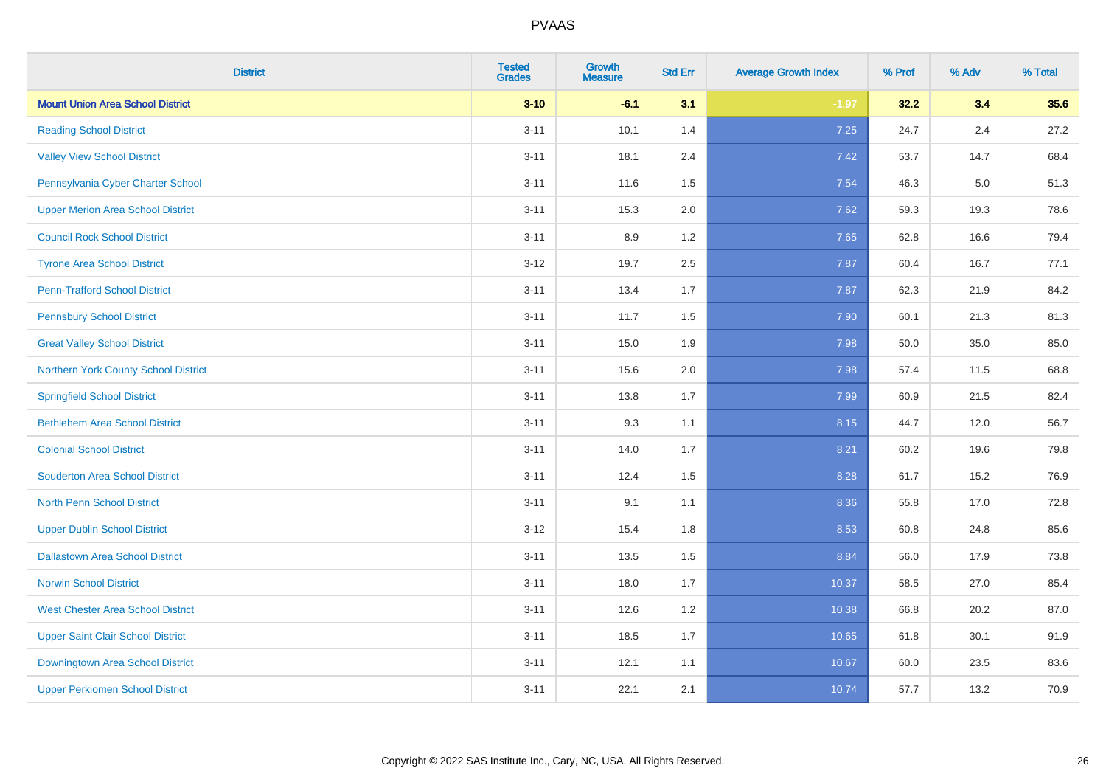| <b>District</b>                          | <b>Tested</b><br><b>Grades</b> | <b>Growth</b><br><b>Measure</b> | <b>Std Err</b> | <b>Average Growth Index</b> | % Prof | % Adv   | % Total |
|------------------------------------------|--------------------------------|---------------------------------|----------------|-----------------------------|--------|---------|---------|
| <b>Mount Union Area School District</b>  | $3 - 10$                       | $-6.1$                          | 3.1            | $-1.97$                     | 32.2   | 3.4     | 35.6    |
| <b>Reading School District</b>           | $3 - 11$                       | 10.1                            | 1.4            | 7.25                        | 24.7   | $2.4\,$ | 27.2    |
| <b>Valley View School District</b>       | $3 - 11$                       | 18.1                            | 2.4            | 7.42                        | 53.7   | 14.7    | 68.4    |
| Pennsylvania Cyber Charter School        | $3 - 11$                       | 11.6                            | 1.5            | 7.54                        | 46.3   | 5.0     | 51.3    |
| <b>Upper Merion Area School District</b> | $3 - 11$                       | 15.3                            | 2.0            | 7.62                        | 59.3   | 19.3    | 78.6    |
| <b>Council Rock School District</b>      | $3 - 11$                       | 8.9                             | 1.2            | 7.65                        | 62.8   | 16.6    | 79.4    |
| <b>Tyrone Area School District</b>       | $3-12$                         | 19.7                            | 2.5            | 7.87                        | 60.4   | 16.7    | 77.1    |
| <b>Penn-Trafford School District</b>     | $3 - 11$                       | 13.4                            | 1.7            | 7.87                        | 62.3   | 21.9    | 84.2    |
| <b>Pennsbury School District</b>         | $3 - 11$                       | 11.7                            | 1.5            | 7.90                        | 60.1   | 21.3    | 81.3    |
| <b>Great Valley School District</b>      | $3 - 11$                       | 15.0                            | 1.9            | 7.98                        | 50.0   | 35.0    | 85.0    |
| Northern York County School District     | $3 - 11$                       | 15.6                            | 2.0            | 7.98                        | 57.4   | 11.5    | 68.8    |
| <b>Springfield School District</b>       | $3 - 11$                       | 13.8                            | 1.7            | 7.99                        | 60.9   | 21.5    | 82.4    |
| <b>Bethlehem Area School District</b>    | $3 - 11$                       | 9.3                             | 1.1            | 8.15                        | 44.7   | 12.0    | 56.7    |
| <b>Colonial School District</b>          | $3 - 11$                       | 14.0                            | 1.7            | 8.21                        | 60.2   | 19.6    | 79.8    |
| <b>Souderton Area School District</b>    | $3 - 11$                       | 12.4                            | 1.5            | 8.28                        | 61.7   | 15.2    | 76.9    |
| <b>North Penn School District</b>        | $3 - 11$                       | 9.1                             | 1.1            | 8.36                        | 55.8   | 17.0    | 72.8    |
| <b>Upper Dublin School District</b>      | $3-12$                         | 15.4                            | 1.8            | 8.53                        | 60.8   | 24.8    | 85.6    |
| <b>Dallastown Area School District</b>   | $3 - 11$                       | 13.5                            | 1.5            | 8.84                        | 56.0   | 17.9    | 73.8    |
| <b>Norwin School District</b>            | $3 - 11$                       | 18.0                            | 1.7            | 10.37                       | 58.5   | 27.0    | 85.4    |
| <b>West Chester Area School District</b> | $3 - 11$                       | 12.6                            | 1.2            | 10.38                       | 66.8   | 20.2    | 87.0    |
| <b>Upper Saint Clair School District</b> | $3 - 11$                       | 18.5                            | 1.7            | 10.65                       | 61.8   | 30.1    | 91.9    |
| Downingtown Area School District         | $3 - 11$                       | 12.1                            | 1.1            | 10.67                       | 60.0   | 23.5    | 83.6    |
| <b>Upper Perkiomen School District</b>   | $3 - 11$                       | 22.1                            | 2.1            | 10.74                       | 57.7   | 13.2    | 70.9    |